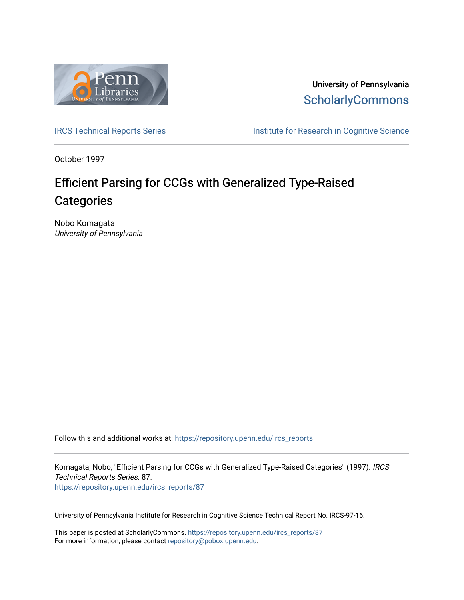

University of Pennsylvania **ScholarlyCommons** 

[IRCS Technical Reports Series](https://repository.upenn.edu/ircs_reports) **Institute for Research in Cognitive Science** 

October 1997

# Efficient Parsing for CCGs with Generalized Type-Raised **Categories**

Nobo Komagata University of Pennsylvania

Follow this and additional works at: [https://repository.upenn.edu/ircs\\_reports](https://repository.upenn.edu/ircs_reports?utm_source=repository.upenn.edu%2Fircs_reports%2F87&utm_medium=PDF&utm_campaign=PDFCoverPages)

Komagata, Nobo, "Efficient Parsing for CCGs with Generalized Type-Raised Categories" (1997). IRCS Technical Reports Series. 87. [https://repository.upenn.edu/ircs\\_reports/87](https://repository.upenn.edu/ircs_reports/87?utm_source=repository.upenn.edu%2Fircs_reports%2F87&utm_medium=PDF&utm_campaign=PDFCoverPages) 

University of Pennsylvania Institute for Research in Cognitive Science Technical Report No. IRCS-97-16.

This paper is posted at ScholarlyCommons. [https://repository.upenn.edu/ircs\\_reports/87](https://repository.upenn.edu/ircs_reports/87) For more information, please contact [repository@pobox.upenn.edu.](mailto:repository@pobox.upenn.edu)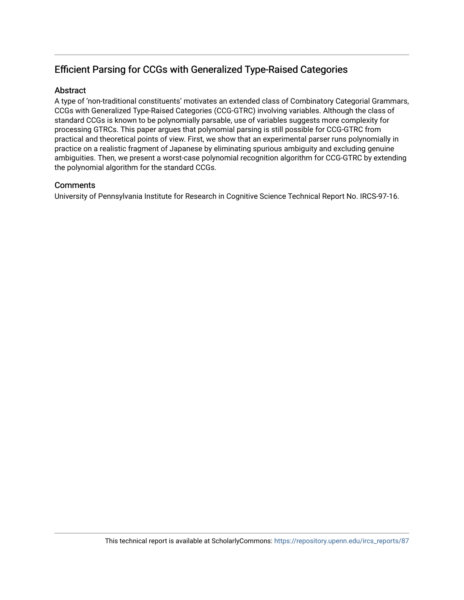# Efficient Parsing for CCGs with Generalized Type-Raised Categories

# **Abstract**

A type of 'non-traditional constituents' motivates an extended class of Combinatory Categorial Grammars, CCGs with Generalized Type-Raised Categories (CCG-GTRC) involving variables. Although the class of standard CCGs is known to be polynomially parsable, use of variables suggests more complexity for processing GTRCs. This paper argues that polynomial parsing is still possible for CCG-GTRC from practical and theoretical points of view. First, we show that an experimental parser runs polynomially in practice on a realistic fragment of Japanese by eliminating spurious ambiguity and excluding genuine ambiguities. Then, we present a worst-case polynomial recognition algorithm for CCG-GTRC by extending the polynomial algorithm for the standard CCGs.

# **Comments**

University of Pennsylvania Institute for Research in Cognitive Science Technical Report No. IRCS-97-16.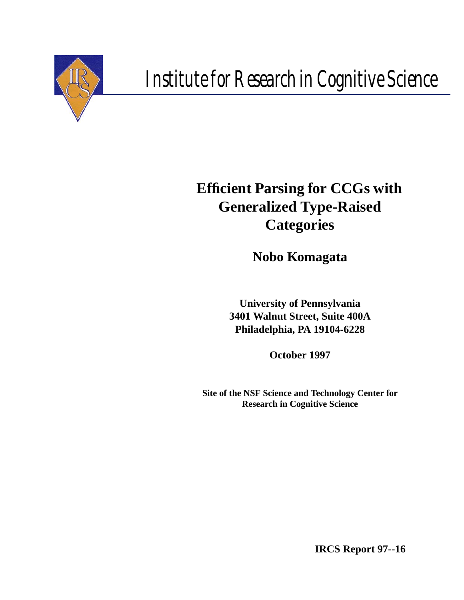

# *Institute for Research in Cognitive Science*

# **Efficient Parsing for CCGs with Generalized Type-Raised Categories**

**Nobo Komagata**

**University of Pennsylvania 3401 Walnut Street, Suite 400A Philadelphia, PA 19104-6228**

**October 1997**

**Site of the NSF Science and Technology Center for Research in Cognitive Science**

**IRCS Report 97--16**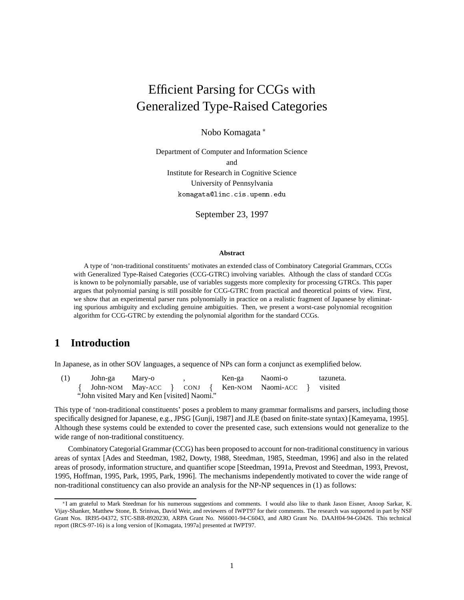# Efficient Parsing for CCGs with Generalized Type-Raised Categories

Nobo Komagata

Department of Computer and Information Science and Institute for Research in Cognitive Science University of Pennsylvania komagata@linc.cis.upenn.edu

September 23, 1997

#### **Abstract**

A type of 'non-traditional constituents' motivates an extended class of Combinatory Categorial Grammars, CCGs with Generalized Type-Raised Categories (CCG-GTRC) involving variables. Although the class of standard CCGs is known to be polynomially parsable, use of variables suggests more complexity for processing GTRCs. This paper argues that polynomial parsing is still possible for CCG-GTRC from practical and theoretical points of view. First, we show that an experimental parser runs polynomially in practice on a realistic fragment of Japanese by eliminating spurious ambiguity and excluding genuine ambiguities. Then, we present a worst-case polynomial recognition algorithm for CCG-GTRC by extending the polynomial algorithm for the standard CCGs.

# **1 Introduction**

In Japanese, as in other SOV languages, a sequence of NPs can form a conjunct as exemplified below.

(1) John-ga Mary-o , Ken-ga Naomi-o tazuneta. fJohn-NOM May-ACC } CONJ { Ken-NOM Naomi-ACC } visited "John visited Mary and Ken [visited] Naomi."

This type of 'non-traditional constituents' poses a problem to many grammar formalisms and parsers, including those specifically designed for Japanese, e.g., JPSG [Gunji, 1987] and JLE (based on finite-state syntax) [Kameyama, 1995]. Although these systems could be extended to cover the presented case, such extensions would not generalize to the wide range of non-traditional constituency.

Combinatory Categorial Grammar (CCG) has been proposed to account for non-traditional constituency in various areas of syntax [Ades and Steedman, 1982, Dowty, 1988, Steedman, 1985, Steedman, 1996] and also in the related areas of prosody, information structure, and quantifier scope [Steedman, 1991a, Prevost and Steedman, 1993, Prevost, 1995, Hoffman, 1995, Park, 1995, Park, 1996]. The mechanisms independently motivated to cover the wide range of non-traditional constituency can also provide an analysis for the NP-NP sequences in (1) as follows:

I am grateful to Mark Steedman for his numerous suggestions and comments. I would also like to thank Jason Eisner, Anoop Sarkar, K. Vijay-Shanker, Matthew Stone, B. Srinivas, David Weir, and reviewers of IWPT97 for their comments. The research was supported in part by NSF Grant Nos. IRI95-04372, STC-SBR-8920230, ARPA Grant No. N66001-94-C6043, and ARO Grant No. DAAH04-94-G0426. This technical report (IRCS-97-16) is a long version of [Komagata, 1997a] presented at IWPT97.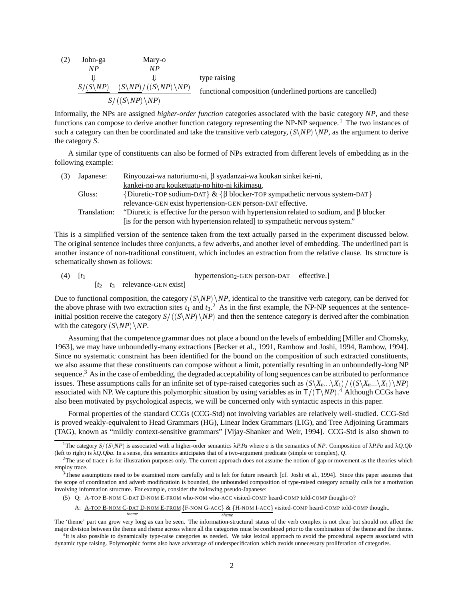(2) John-ga Mary-o  
\nNP  
\n
$$
NP
$$
  
\n $\downarrow$   
\n $S/(S\N P) (S\N P) / ((S\N P) \N P)$   
\n $S/(S\N P) / NP)$   
\nfunctional composition (underlined portions are cancelled)

Informally, the NPs are assigned *higher-order function* categories associated with the basic category *NP*, and these functions can compose to derive another function category representing the NP-NP sequence.<sup>1</sup> The two instances of such a category can then be coordinated and take the transitive verb category,  $(S\N P) \N P$ , as the argument to derive the category *S*.

A similar type of constituents can also be formed of NPs extracted from different levels of embedding as in the following example:

| (3) | Japanese:    | Rinyouzai-wa natoriumu-ni, $\beta$ syadanzai-wa koukan sinkei kei-ni,                          |
|-----|--------------|------------------------------------------------------------------------------------------------|
|     |              | kankei-no aru kouketuatu-no hito-ni kikimasu.                                                  |
|     | Gloss:       | {Diuretic-TOP sodium-DAT} & { $\beta$ blocker-TOP sympathetic nervous system-DAT}              |
|     |              | relevance-GEN exist hypertension-GEN person-DAT effective.                                     |
|     | Translation: | "Diuretic is effective for the person with hypertension related to sodium, and $\beta$ blocker |
|     |              | [is for the person with hypertension related] to sympathetic nervous system."                  |

This is a simplified version of the sentence taken from the text actually parsed in the experiment discussed below. The original sentence includes three conjuncts, a few adverbs, and another level of embedding. The underlined part is another instance of non-traditional constituent, which includes an extraction from the relative clause. Its structure is schematically shown as follows:

(4)  $[t_1$  hypertension<sub>2</sub>-GEN person-DAT effective.]  $[t_2 \quad t_3 \quad$  relevance-GEN exist]

Due to functional composition, the category  $(S\NP)$  *NP*, identical to the transitive verb category, can be derived for the above phrase with two extraction sites  $t_1$  and  $t_3$ .<sup>2</sup> As in the first example, the NP-NP sequences at the sentenceinitial position receive the category  $S/(S\ N P)$  *NP*) and then the sentence category is derived after the combination with the category  $(S\ NP) \ NP$ .

Assuming that the competence grammar does not place a bound on the levels of embedding [Miller and Chomsky, 1963], we may have unboundedly-many extractions [Becker et al., 1991, Rambow and Joshi, 1994, Rambow, 1994]. Since no systematic constraint has been identified for the bound on the composition of such extracted constituents, we also assume that these constituents can compose without a limit, potentially resulting in an unboundedly-long NP sequence.<sup>3</sup> As in the case of embedding, the degraded acceptability of long sequences can be attributed to performance issues. These assumptions calls for an infinite set of type-raised categories such as  $(S\X_n...\X_1)/((S\X_n...\X_1)\N P)$ associated with NP. We capture this polymorphic situation by using variables as in  $T/(\text{T}\setminus NP)$ .<sup>4</sup> Although CCGs have also been motivated by psychological aspects, we will be concerned only with syntactic aspects in this paper.

Formal properties of the standard CCGs (CCG-Std) not involving variables are relatively well-studied. CCG-Std is proved weakly-equivalent to Head Grammars (HG), Linear Index Grammars (LIG), and Tree Adjoining Grammars (TAG), known as "mildly context-sensitive grammars" [Vijay-Shanker and Weir, 1994]. CCG-Std is also shown to

*rheme*

<sup>&</sup>lt;sup>1</sup>The category *S*/ $(S\setminus NP)$  is associated with a higher-order semantics  $\lambda P$ *Pa* where *a* is the semantics of *NP*. Composition of  $\lambda P$ *Pa* and  $\lambda Q$ *. Qb* (left to right) is λ*QQba*. In a sense, this semantics anticipates that of a two-argument predicate (simple or complex), *Q*.

 ${}^{2}$ The use of trace *t* is for illustration purposes only. The current approach does not assume the notion of gap or movement as the theories which employ trace.

 $3$ These assumptions need to be examined more carefully and is left for future research [cf. Joshi et al., 1994]. Since this paper assumes that the scope of coordination and adverb modificatioin is bounded, the unbounded composition of type-raised category actually calls for a motivation involving information structure. For example, consider the following pseudo-Japanese:

<sup>(5)</sup> Q: A-TOP B-NOM C-DAT D-NOM E-FROM who-NOM who-ACC visited-COMP heard-COMP told-COMP thought-Q?

A: <u>A-TOP B-NOM C-DAT D-NOM E-FROM {F-NOM G-ACC}</u> & {H-NOM I-ACC} visited-COMP heard-COMP told-COMP thought.

The 'theme' part can grow very long as can be seen. The information-structural status of the verb complex is not clear but should not affect the major division between the theme and rheme across where all the categories must be combined prior to the combination of the theme and the rheme. 4It is also possible to dynamically type-raise categories as needed. We take lexical approach to avoid the procedural aspects associated with dynamic type raising. Polymorphic forms also have advantage of underspecification which avoids unnecessary proliferation of categories.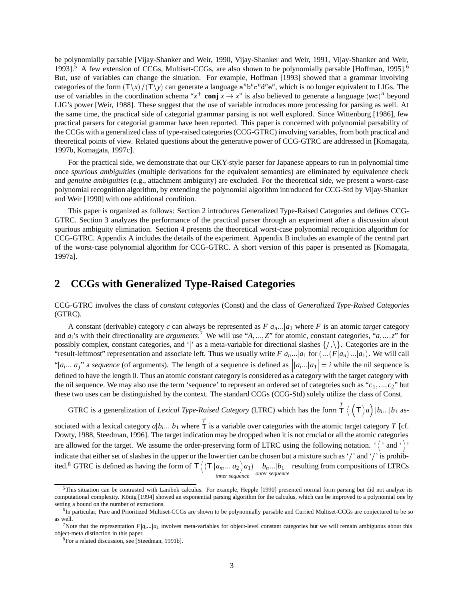be polynomially parsable [Vijay-Shanker and Weir, 1990, Vijay-Shanker and Weir, 1991, Vijay-Shanker and Weir, 1993].<sup>5</sup> A few extension of CCGs, Multiset-CCGs, are also shown to be polynomially parsable [Hoffman, 1995].<sup>6</sup> But, use of variables can change the situation. For example, Hoffman [1993] showed that a grammar involving categories of the form  $(T\lambda x)/(T\lambda y)$  can generate a language  $a^n b^n c^n d^n e^n$ , which is no longer equivalent to LIGs. The use of variables in the coordination schema " $x^+$  conj  $x \to x$ " is also believed to generate a language (wc)<sup>n</sup> beyond LIG's power [Weir, 1988]. These suggest that the use of variable introduces more processing for parsing as well. At the same time, the practical side of categorial grammar parsing is not well explored. Since Wittenburg [1986], few practical parsers for categorial grammar have been reported. This paper is concerned with polynomial parsability of the CCGs with a generalized class of type-raised categories (CCG-GTRC) involving variables, from both practical and theoretical points of view. Related questions about the generative power of CCG-GTRC are addressed in [Komagata, 1997b, Komagata, 1997c].

For the practical side, we demonstrate that our CKY-style parser for Japanese appears to run in polynomial time once *spurious ambiguities* (multiple derivations for the equivalent semantics) are eliminated by equivalence check and *genuine ambiguities* (e.g., attachment ambiguity) are excluded. For the theoretical side, we present a worst-case polynomial recognition algorithm, by extending the polynomial algorithm introduced for CCG-Std by Vijay-Shanker and Weir [1990] with one additional condition.

This paper is organized as follows: Section 2 introduces Generalized Type-Raised Categories and defines CCG-GTRC. Section 3 analyzes the performance of the practical parser through an experiment after a discussion about spurious ambiguity elimination. Section 4 presents the theoretical worst-case polynomial recognition algorithm for CCG-GTRC. Appendix A includes the details of the experiment. Appendix B includes an example of the central part of the worst-case polynomial algorithm for CCG-GTRC. A short version of this paper is presented as [Komagata, 1997a].

# **2 CCGs with Generalized Type-Raised Categories**

CCG-GTRC involves the class of *constant categories* (Const) and the class of *Generalized Type-Raised Categories* (GTRC).

A constant (derivable) category *c* can always be represented as  $F|a_n...|a_1$  where *F* is an atomic *target* category and  $a_i$ 's with their directionality are *arguments*.<sup>7</sup> We will use " $A, ..., Z$ " for atomic, constant categories, " $a, ..., z$ " for possibly complex, constant categories, and '|' as a meta-variable for directional slashes  $\{\langle,\rangle\}$ . Categories are in the "result-leftmost" representation and associate left. Thus we usually write  $F|a_n...|a_1$  for  $(\dots(F|a_n)...|a_1)$ . We will call "|a<sub>i</sub>...|a<sub>j</sub>" a sequence (of arguments). The length of a sequence is defined as  $||a_i|| = i$  while the nil sequence is defined to have the length 0. Thus an atomic constant category is considered as a category with the target category with the nil sequence. We may also use the term 'sequence' to represent an ordered set of categories such as " $c_1$ ,..., $c_2$ " but these two uses can be distinguished by the context. The standard CCGs (CCG-Std) solely utilize the class of Const.

GTRC is a generalization of *Lexical Type-Raised Category* (LTRC) which has the form *T*  $\frac{1}{\textsf{T}}\left\langle \right. \left( \textsf{T}\left. \right\rangle a\right) |b_{i}...|b_{1} \text{ as-}$ 

sociated with a lexical category  $a|b_i...|b_1$  where  $\overline{T}$  is a variable over categories with the atomic target category *T* [cf. Dowty, 1988, Steedman, 1996]. The target indication may be dropped when it is not crucial or all the atomic categories are allowed for the target. We assume the order-preserving form of LTRC using the following notation.  $\langle \rangle$  and  $\langle \rangle$ indicate that either set of slashes in the upper or the lower tier can be chosen but a mixture such as '/' and '/' is prohibited.<sup>8</sup> GTRC is defined as having the form of  $\tau \langle (\tau | a_{m} ... | a_2 \rangle a_1)$  |*l inner sequence*  $\int_{\text{outer sequence}}^{\cdot}$  *b<sub>1</sub>* resulting from compositions of LTRCs

<sup>&</sup>lt;sup>5</sup>This situation can be contrasted with Lambek calculus. For example, Hepple [1990] presented normal form parsing but did not analyze its computational complexity. König [1994] showed an exponential parsing algorithm for the calculus, which can be improved to a polynomial one by setting a bound on the number of extractions.

<sup>6</sup>In particular, Pure and Prioritized Multiset-CCGs are shown to be polynomially parsable and Curried Multiset-CCGs are conjectured to be so as well.

<sup>&</sup>lt;sup>7</sup>Note that the representation  $F|q_1...|q_1$  involves meta-variables for object-level constant categories but we will remain ambiguous about this object-meta distinction in this paper.

<sup>8</sup>For a related discussion, see [Steedman, 1991b].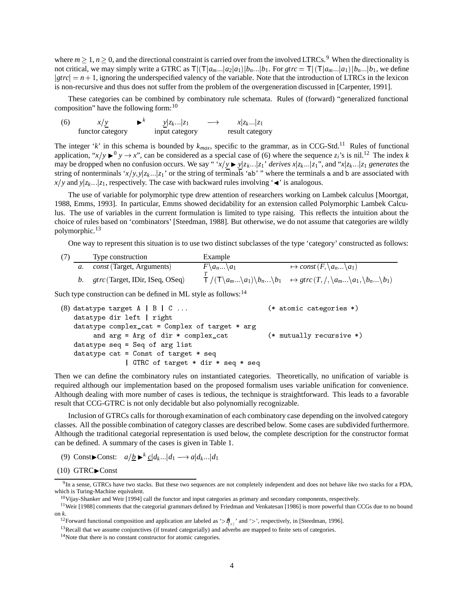where  $m \ge 1$ ,  $n \ge 0$ , and the directional constraint is carried over from the involved LTRCs.<sup>9</sup> When the directionality is not critical, we may simply write a GTRC as  $T|(T|a_m...|a_2|a_1)|b_n...|b_1$ . For  $gtrc = T|(T|a_m...|a_1)|b_n...|b_1$ , we define  $gerc = n + 1$ , ignoring the underspecified valency of the variable. Note that the introduction of LTRCs in the lexicon is non-recursive and thus does not suffer from the problem of the overgeneration discussed in [Carpenter, 1991].

These categories can be combined by combinatory rule schemata. Rules of (forward) "generalized functional composition" have the following form:  $10$ 

| (6) | x/y              | $\mathbf{K}^{\kappa}$ | $y z_k$ $ z_1 $ | $\longrightarrow$ | $x z_k$ $z_1$   |
|-----|------------------|-----------------------|-----------------|-------------------|-----------------|
|     | functor category |                       | input category  |                   | result category |

The integer '*k*' in this schema is bounded by  $k_{max}$ , specific to the grammar, as in CCG-Std.<sup>11</sup> Rules of functional application, " $x/y \rightarrow 0$ ", can be considered as a special case of (6) where the sequence  $z_i$ 's is nil.<sup>12</sup> The index *k* may be dropped when no confusion occurs. We say " $x/y \rightarrow y|z_k...|z_1$ ' *derives*  $x|z_k...|z_1$ ", and " $x|z_k...|z_1$  generates the string of nonterminals ' $x/y, y|z_k...|z_1$ ' or the string of terminals 'ab' " where the terminals a and b are associated with  $x/y$  and  $y|z_k...|z_1$ , respectively. The case with backward rules involving ' $\triangleleft$ ' is analogous.

The use of variable for polymorphic type drew attention of researchers working on Lambek calculus [Moortgat, 1988, Emms, 1993]. In particular, Emms showed decidability for an extension called Polymorphic Lambek Calculus. The use of variables in the current formulation is limited to type raising. This reflects the intuition about the choice of rules based on 'combinators' [Steedman, 1988]. But otherwise, we do not assume that categories are wildly polymorphic.<sup>13</sup>

One way to represent this situation is to use two distinct subclasses of the type 'category' constructed as follows:

|  | Type construction                               | Example                         |                                                                                                                                                                    |
|--|-------------------------------------------------|---------------------------------|--------------------------------------------------------------------------------------------------------------------------------------------------------------------|
|  | <i>const</i> (Target, Arguments)                | $F \setminus a_n \setminus a_1$ | $\mapsto$ const $(F, \{a_n \ldots \} a_1)$                                                                                                                         |
|  | b $\frac{g}{r}$ gtrc (Target, IDir, ISeq, OSeq) |                                 | $\top / (\top \setminus a_m  \setminus a_1) \setminus b_n  \setminus b_1 \rightarrow \text{grc}(T, /, \setminus a_m  \setminus a_1, \setminus b_n  \setminus b_1)$ |

Such type construction can be defined in ML style as follows:<sup>14</sup>

```
(8) datatype target A \mid B \mid C \ldots(* atomic categories *)datation is a right of the contract of the contract of the contract of the contract of the contract of the contract of the contract of the contract of the contract of the contract of the contract of the contract of the con
    datatype complex_cat = Complex of target * arg
            and arg = Arg of dir * complex_cat (* mutually recursive *)datatype seq = Seq of arg list
    datatype cat = Const of target * seq
                         -
 GTRC of target  dir  seq  seq
```
Then we can define the combinatory rules on instantiated categories. Theoretically, no unification of variable is required although our implementation based on the proposed formalism uses variable unification for convenience. Although dealing with more number of cases is tedious, the technique is straightforward. This leads to a favorable result that CCG-GTRC is not only decidable but also polynomially recognizable.

Inclusion of GTRCs calls for thorough examination of each combinatory case depending on the involved category classes. All the possible combination of category classes are described below. Some cases are subdivided furthermore. Although the traditional categorial representation is used below, the complete description for the constructor format can be defined. A summary of the cases is given in Table 1.

(9) Const $\blacktriangleright$  Const:  $a/\underline{b} \blacktriangleright^k \underline{c} | d_k | d_1 \longrightarrow a | d_k | d_1$ 

 $(10)$  GTRC $\blacktriangleright$ Const

 $9$ In a sense, GTRCs have two stacks. But these two sequences are not completely independent and does not behave like two stacks for a PDA, which is Turing-Machine equivalent.

 $10$ Vijay-Shanker and Weir [1994] call the functor and input categories as primary and secondary components, respectively.

<sup>&</sup>lt;sup>11</sup>Weir [1988] comments that the categorial grammars defined by Friedman and Venkatesan [1986] is more powerful than CCGs due to no bound on *k*.

<sup>&</sup>lt;sup>12</sup> Forward functional composition and application are labeled as ' $>\cancel{P}_{\lambda}$ ' and '>', respectively, in [Steedman, 1996].

<sup>&</sup>lt;sup>13</sup>Recall that we assume conjunctives (if treated categorially) and adverbs are mapped to finite sets of categories.

<sup>14</sup>Note that there is no constant constructor for atomic categories.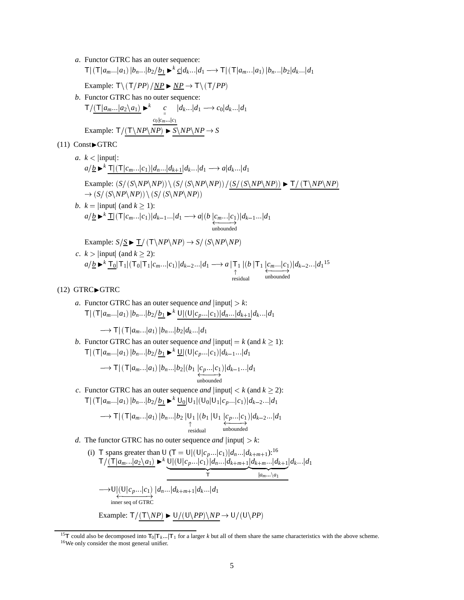- *a*. Functor GTRC has an outer sequence:  $\mathsf{T}$  $\left| \left( \mathsf{T} | a_{m} \ldots | a_1 \right) | b_n \ldots | b_2 / b_1 \blacktriangleright^k \underline{c} | d_k \ldots | d_1 \longrightarrow \mathsf{T} \right| \left( \mathsf{T} | a_{m} \ldots | a_1 \right) | b_n \ldots | b_2 | d_k \ldots | d_1$ Example:  $T \setminus (T/PP) / NP \rightarrow NP \rightarrow T \setminus (T/PP)$ *b*. Functor GTRC has no outer sequence:  $T/(T|a_m...|a_2\backslash a_1)$   $\blacktriangleright^k$  *c*  $|d_k...|d_1 \longrightarrow c_0|d_k...|d_1$  $c_0 | c_m ... | c_1$ Example:  $T/(T\NP\NP) \triangleright S\NP\NP \rightarrow S$  $(11)$  Const $\blacktriangleright$  GTRC *a*.  $k$  < |input|:  $a/\underline{b}$   $\blacktriangleright$ <sup>*k*</sup>  $\mathsf{T}|(\mathsf{T}|c_m...|c_1)|d_n...|d_{k+1}|d_k...|d_1 \longrightarrow a|d_k...|d_1$ Example:  $(S/(S\N P\N P)) \ (S/(S\N P\N P)) / (S/(S\N P\N P)) \blacktriangleright T/(T\N P\N P)$  $\rightarrow$  (*S*/(*S*\*NP*\*NP*))\(*S*/(*S*\*NP*\*NP*)) *b*.  $k = |$ input $|$  (and  $k \ge$  1):  $a/\underline{b} \blacktriangleright^{k} \underline{\mathbf{T}} |(\mathbf{T}|c_m...|c_1)|d_{k-1}...|d_1 \longrightarrow a|(b|c_m...|c_1)|d_{k-1}$ <br>unbounded *)* $|d_{k-1}$ *i* $|d_1$ Example:  $S/S \triangleright T / (T \backslash NP \backslash NP) \rightarrow S / (S \backslash NP \backslash NP)$ 
	- *c*.  $k > |input|$  (and  $k \ge 2$ ): 2):  $a/\underline{b} \blacktriangleright^{k} \underline{T_0} |T_1| (T_0 |T_1| c_m ... |c_1) | d_{k-2} ... | d_1 \longrightarrow a \mid T_1 \mid (b | T_1 | c_m ...$ residual  $\vert T_1 \vert \underleftarrow{c_m \dots} \vert c_1}_{\text{unbounded}}$  $\int |d_{k-2} \dots |d_1|^{15}$

#### $(12)$  GTRC $\blacktriangleright$ GTRC

*a*. Functor GTRC has an outer sequence *and*  $|input| > k$ :  $\mathsf{T} | (\mathsf{T}|a_m...|a_1) |b_n...|b_2/\underline{b_1} \blacktriangleright^k \mathsf{U} |(\mathsf{U}|c_p...|c_1)|d_n...|d_{k+1}|d_k...|d_1$ 

 $\longrightarrow$  T $|(T|a_m...|a_1)|b_n...|b_2|d_k...|d_1$ 

*b*. Functor GTRC has an outer sequence *and*  $|\text{input}| = k \text{ (and } k \ge 1$ :  $T|(T|a_m...|a_1)|b_n...|b_2/b_1 \blacktriangleright^k \underline{U}|(U|c_p...|c_1)|d_{k-1}...|d_1$ 

$$
\longrightarrow \mathsf{T} | (\mathsf{T} | a_m ... | a_1) | b_n ... | b_2 | (b_1 | c_p ... | c_1) | d_{k-1} ... | d_1
$$
  
unbounded  
subounded

*c*. Functor GTRC has an outer sequence *and*  $|\text{input}| < k$  (and  $k \ge 2$ ):  $\mathsf{T}$  $\left| \left( \mathsf{T} | a_m... | a_1 \right) | b_n... | b_2 / b_1 \blacktriangleright^k \mathsf{U}_0 | \mathsf{U}_1 | (\mathsf{U}_0 | \mathsf{U}_1 | c_p... | c_1) | d_{k-2}... | d_1 \right|$ 

$$
\longrightarrow \mathsf{T} \mid (\mathsf{T} | a_{m} ... | a_1) | b_n ... | b_2 | \bigcup_{\substack{\uparrow \\ \uparrow \\ \text{residual}}} | (b_1 | U_1 | c_p ... | c_1) | d_{k-2} ... | d_1
$$

- *d*. The functor GTRC has no outer sequence *and*  $|input| > k$ :
	- (i) T spans greater than U (T = U|(U| $c_p$ ...| $c_1$ )| $d_n$ ...| $d_{k+m+1}$ ):<sup>16</sup>  $T/\underbrace{(T|a_m...|a_2\setminus a_1)}_{\sim}$   $\blacktriangleright^k$  U $\underbrace{(U|C|c_p...|c_1)}_{\sim}$ *d<sub>k+m+1</sub>* $\underbrace{d_{k+m...}}_{\sim}$  $\underbrace{|d_{k+m}...|d_{k+1}|\d_{k}...|d_1}_{|a_m...|a_1}$  $|d_k|$   $|d_1|$  $\longrightarrow U|(U|c_p...|c_1)|d_n...|d_{k+m+1}|d_k...$ <br>
	inner seq of GTRC  $|d_n| \cdot |d_{k+m+1}| d_k | \cdot |d_1|$ 
		- Example:  $T/(T\N P) \blacktriangleright U/(U\PR P) \N P \rightarrow U/(U\PR P)$

<sup>&</sup>lt;sup>15</sup>T could also be decomposed into  $T_0 | T_k ... | T_1$  for a larger *k* but all of them share the same characteristics with the above scheme. <sup>16</sup>We only consider the most general unifier.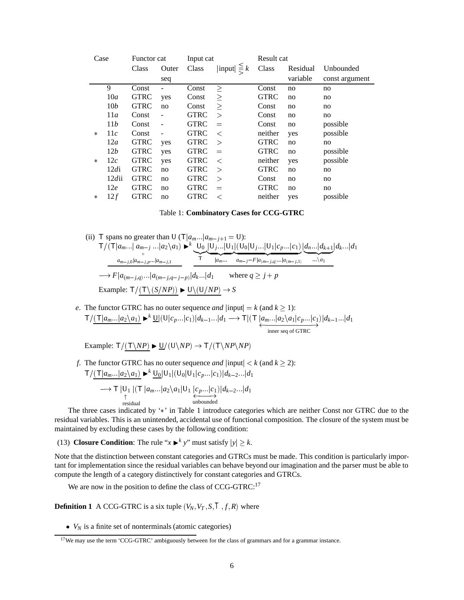| Case   |                 | Functor cat |                          | Input cat   |                         | Result cat  |          |                |
|--------|-----------------|-------------|--------------------------|-------------|-------------------------|-------------|----------|----------------|
|        |                 | Class       | Outer                    | Class       | $ \text{input}  \leq k$ | Class       | Residual | Unbounded      |
|        |                 |             | seq                      |             |                         |             | variable | const argument |
|        | 9               | Const       |                          | Const       | $\geq$                  | Const       | no       | no             |
|        | 10a             | <b>GTRC</b> | yes                      | Const       | $\geq$                  | <b>GTRC</b> | no       | no             |
|        | 10 <sub>b</sub> | <b>GTRC</b> | no                       | Const       | $\geq$                  | Const       | no       | no             |
|        | 11a             | Const       |                          | <b>GTRC</b> | $\mathbf{L}$            | Const       | no       | no             |
|        | 11b             | Const       |                          | <b>GTRC</b> | $=$                     | Const       | no       | possible       |
| $\ast$ | 11c             | Const       | $\overline{\phantom{a}}$ | <b>GTRC</b> | $\,<\,$                 | neither     | yes      | possible       |
|        | 12a             | <b>GTRC</b> | yes                      | <b>GTRC</b> | $\geq$                  | <b>GTRC</b> | no       | no             |
|        | 12b             | <b>GTRC</b> | yes                      | <b>GTRC</b> | $=$                     | <b>GTRC</b> | no       | possible       |
| $\ast$ | 12c             | <b>GTRC</b> | yes                      | <b>GTRC</b> | $\,<\,$                 | neither     | yes      | possible       |
|        | 12di            | <b>GTRC</b> | no                       | <b>GTRC</b> | $\geq$                  | <b>GTRC</b> | no       | no             |
|        | 12dii           | <b>GTRC</b> | no                       | <b>GTRC</b> | $\geq$                  | Const       | no       | no             |
|        | 12e             | <b>GTRC</b> | no                       | <b>GTRC</b> | $=$                     | <b>GTRC</b> | no       | no             |
| $\ast$ | 12f             | <b>GTRC</b> | no                       | <b>GTRC</b> | $\,<\,$                 | neither     | yes      | possible       |

|  | Table 1: Combinatory Cases for CCG-GTRC |  |  |  |  |
|--|-----------------------------------------|--|--|--|--|
|--|-----------------------------------------|--|--|--|--|

(ii) T spans no greater than U (T|
$$
a_m...|a_{m-j+1} = U
$$
):  
T/(T| $a_m...|a_{m-j}...|a_2 \setminus a_1$ )  $\rightarrow$ <sup>k</sup> U<sub>0</sub> U<sub>j</sub>...|U<sub>1</sub>|(U<sub>0</sub>|U<sub>j</sub>...|U<sub>1</sub>| $c_p...|c_1$ )  $\underbrace{d_n...|d_{k+1}}_{m-1,0} d_k...|d_1$   
  $\underbrace{a_{m-j,0}|a_{m-j,p}...|a_{m-j,1}}_{m-1,1}$ 

$$
\longrightarrow F|a_{(m-j,q)}...|a_{(m-j,q-j-p)}|d_k...|d_1 \quad \text{where } q \ge j+p
$$
  
Example:  $T/(\text{T} \setminus (S/NP)) \blacktriangleright U \setminus (U/NP) \rightarrow S$ 

*e*. The functor GTRC has no outer sequence *and*  $|\text{input}| = k \text{ (and } k \ge 1)$ : 1):  $T/(\underbrace{T|a_m...|a_2\setminus a_1)}_{\text{inner seq of GTRC}}$   $\blacktriangleright^k \underbrace{U|(U|c_p...|c_1)|d_{k-1}...|d_1}_{\text{inner seq of GTRC}}$ *)* $|d_{k-1}$ *id*<sub>1</sub>

Example:  $T/(T\N P) \triangleright \underline{U}/(U\N P) \rightarrow T/(T\N P\N P)$ 

*f*. The functor GTRC has no outer sequence *and*  $|\text{input}| < k$  (and  $k \ge 2$ ):  $T/(T|a_m...|a_2|a_1) \blacktriangleright^k U_0|U_1|(U_0|U_1|c_n...|c_1)|d_{k-2}...|d_1$ 

$$
\longrightarrow T \left| \bigcup_{\uparrow} \left| (T \left| a_m \dots \left| a_2 \setminus a_1 \right| \bigcup_{\substack{c_2 \dots c_1 \\ \text{unbounded}}} \right| d_{k-2} \dots \left| d_1 \right| \right)
$$

The three cases indicated by '\*' in Table 1 introduce categories which are neither Const nor GTRC due to the residual variables. This is an unintended, accidental use of functional composition. The closure of the system must be maintained by excluding these cases by the following condition: maintained by excluding these cases by the following condition:<br>
(13) **Closure Condition**: The rule " $x \rightharpoonup^k y$ " must satisfy  $|y| \ge k$ .

Note that the distinction between constant categories and GTRCs must be made. This condition is particularly important for implementation since the residual variables can behave beyond our imagination and the parser must be able to compute the length of a category distinctively for constant categories and GTRCs.

We are now in the position to define the class of CCG-GTRC:<sup>17</sup>

**Definition 1** A CCG-GTRC is a six tuple  $(V_N, V_T, S, T, f, R)$  where

•  $V_N$  is a finite set of nonterminals (atomic categories)

<sup>&</sup>lt;sup>17</sup>We may use the term 'CCG-GTRC' ambiguously between for the class of grammars and for a grammar instance.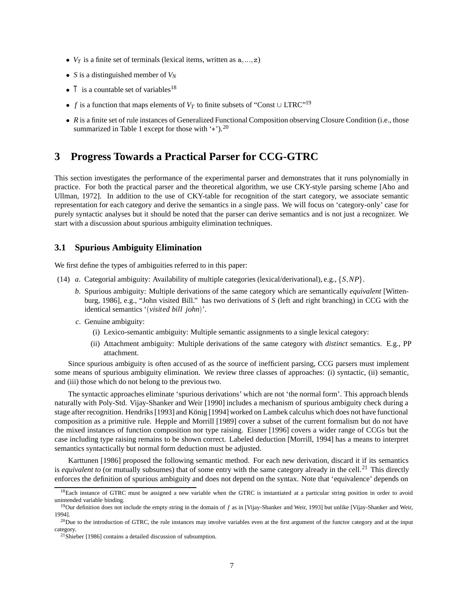- $V_T$  is a finite set of terminals (lexical items, written as  $a, ..., z$ )
- *S* is a distinguished member of  $V_N$
- $T$  is a countable set of variables<sup>18</sup>
- *f* is a function that maps elements of  $V_T$  to finite subsets of "Const  $\cup$  LTRC"<sup>19</sup>
- *R* is a finite set of rule instances of Generalized Functional Composition observing Closure Condition (i.e., those summarized in Table 1 except for those with  $\cdot$ \*').<sup>20</sup>

# **3 Progress Towards a Practical Parser for CCG-GTRC**

This section investigates the performance of the experimental parser and demonstrates that it runs polynomially in practice. For both the practical parser and the theoretical algorithm, we use CKY-style parsing scheme [Aho and Ullman, 1972]. In addition to the use of CKY-table for recognition of the start category, we associate semantic representation for each category and derive the semantics in a single pass. We will focus on 'category-only' case for purely syntactic analyses but it should be noted that the parser can derive semantics and is not just a recognizer. We start with a discussion about spurious ambiguity elimination techniques.

#### **3.1 Spurious Ambiguity Elimination**

We first define the types of ambiguities referred to in this paper:

- (14) *a*. Categorial ambiguity: Availability of multiple categories (lexical/derivational), e.g., <sup>f</sup>*S NP*g.
	- *b*. Spurious ambiguity: Multiple derivations of the same category which are semantically *equivalent* [Wittenburg, 1986], e.g., "John visited Bill." has two derivations of *S* (left and right branching) in CCG with the identical semantics '*visited bill john*'.
	- *c*. Genuine ambiguity:
		- (i) Lexico-semantic ambiguity: Multiple semantic assignments to a single lexical category:
		- (ii) Attachment ambiguity: Multiple derivations of the same category with *distinct* semantics. E.g., PP attachment.

Since spurious ambiguity is often accused of as the source of inefficient parsing, CCG parsers must implement some means of spurious ambiguity elimination. We review three classes of approaches: (i) syntactic, (ii) semantic, and (iii) those which do not belong to the previous two.

The syntactic approaches eliminate 'spurious derivations' which are not 'the normal form'. This approach blends naturally with Poly-Std. Vijay-Shanker and Weir [1990] includes a mechanism of spurious ambiguity check during a stage after recognition. Hendriks [1993] and König [1994] worked on Lambek calculus which does not have functional composition as a primitive rule. Hepple and Morrill [1989] cover a subset of the current formalism but do not have the mixed instances of function composition nor type raising. Eisner [1996] covers a wider range of CCGs but the case including type raising remains to be shown correct. Labeled deduction [Morrill, 1994] has a means to interpret semantics syntactically but normal form deduction must be adjusted.

Karttunen [1986] proposed the following semantic method. For each new derivation, discard it if its semantics is *equivalent to* (or mutually subsumes) that of some entry with the same category already in the cell.<sup>21</sup> This directly enforces the definition of spurious ambiguity and does not depend on the syntax. Note that 'equivalence' depends on

 $18$ Each instance of GTRC must be assigned a new variable when the GTRC is instantiated at a particular string position in order to avoid unintended variable binding.

<sup>&</sup>lt;sup>19</sup>Our definition does not include the empty string in the domain of f as in [Vijay-Shanker and Weir, 1993] but unlike [Vijay-Shanker and Weir, 1994].

 $^{20}$ Due to the introduction of GTRC, the rule instances may involve variables even at the first argument of the functor category and at the input category.

 $21$ Shieber [1986] contains a detailed discussion of subsumption.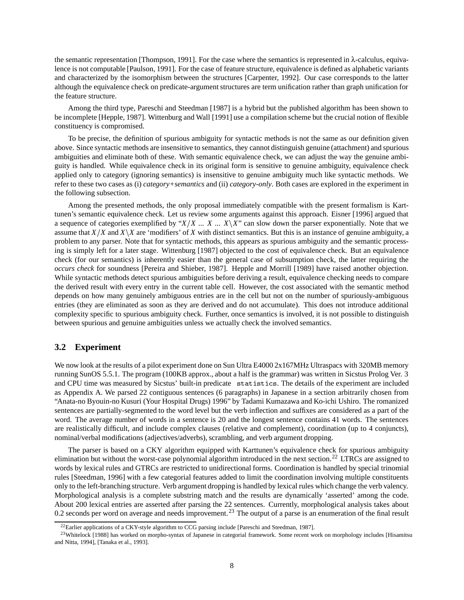the semantic representation [Thompson, 1991]. For the case where the semantics is represented in λ-calculus, equivalence is not computable [Paulson, 1991]. For the case of feature structure, equivalence is defined as alphabetic variants and characterized by the isomorphism between the structures [Carpenter, 1992]. Our case corresponds to the latter although the equivalence check on predicate-argument structures are term unification rather than graph unification for the feature structure.

Among the third type, Pareschi and Steedman [1987] is a hybrid but the published algorithm has been shown to be incomplete [Hepple, 1987]. Wittenburg and Wall [1991] use a compilation scheme but the crucial notion of flexible constituency is compromised.

To be precise, the definition of spurious ambiguity for syntactic methods is not the same as our definition given above. Since syntactic methods are insensitive to semantics, they cannot distinguish genuine (attachment) and spurious ambiguities and eliminate both of these. With semantic equivalence check, we can adjust the way the genuine ambiguity is handled. While equivalence check in its original form is sensitive to genuine ambiguity, equivalence check applied only to category (ignoring semantics) is insensitive to genuine ambiguity much like syntactic methods. We refer to these two cases as (i) *category+semantics* and (ii) *category-only*. Both cases are explored in the experiment in the following subsection.

Among the presented methods, the only proposal immediately compatible with the present formalism is Karttunen's semantic equivalence check. Let us review some arguments against this approach. Eisner [1996] argued that a sequence of categories exemplified by " $X/X$  ...  $X \cup X$ " can slow down the parser exponentially. Note that we assume that  $X/X$  and  $X\X$  are 'modifiers' of X with distinct semantics. But this is an instance of genuine ambiguity, a problem to any parser. Note that for syntactic methods, this appears as spurious ambiguity and the semantic processing is simply left for a later stage. Wittenburg [1987] objected to the cost of equivalence check. But an equivalence check (for our semantics) is inherently easier than the general case of subsumption check, the latter requiring the *occurs check* for soundness [Pereira and Shieber, 1987]. Hepple and Morrill [1989] have raised another objection. While syntactic methods detect spurious ambiguities before deriving a result, equivalence checking needs to compare the derived result with every entry in the current table cell. However, the cost associated with the semantic method depends on how many genuinely ambiguous entries are in the cell but not on the number of spuriously-ambiguous entries (they are eliminated as soon as they are derived and do not accumulate). This does not introduce additional complexity specific to spurious ambiguity check. Further, once semantics is involved, it is not possible to distinguish between spurious and genuine ambiguities unless we actually check the involved semantics.

### **3.2 Experiment**

We now look at the results of a pilot experiment done on Sun Ultra E4000 2x167MHz Ultraspacs with 320MB memory running SunOS 5.5.1. The program (100KB approx., about a half is the grammar) was written in Sicstus Prolog Ver. 3 and CPU time was measured by Sicstus' built-in predicate statistics. The details of the experiment are included as Appendix A. We parsed 22 contiguous sentences (6 paragraphs) in Japanese in a section arbitrarily chosen from "Anata-no Byouin-no Kusuri (Your Hospital Drugs) 1996" by Tadami Kumazawa and Ko-ichi Ushiro. The romanized sentences are partially-segmented to the word level but the verb inflection and suffixes are considered as a part of the word. The average number of words in a sentence is 20 and the longest sentence contains 41 words. The sentences are realistically difficult, and include complex clauses (relative and complement), coordination (up to 4 conjuncts), nominal/verbal modifications (adjectives/adverbs), scrambling, and verb argument dropping.

The parser is based on a CKY algorithm equipped with Karttunen's equivalence check for spurious ambiguity elimination but without the worst-case polynomial algorithm introduced in the next section.<sup>22</sup> LTRCs are assigned to words by lexical rules and GTRCs are restricted to unidirectional forms. Coordination is handled by special trinomial rules [Steedman, 1996] with a few categorial features added to limit the coordination involving multiple constituents only to the left-branching structure. Verb argument dropping is handled by lexical rules which change the verb valency. Morphological analysis is a complete substring match and the results are dynamically 'asserted' among the code. About 200 lexical entries are asserted after parsing the 22 sentences. Currently, morphological analysis takes about 0.2 seconds per word on average and needs improvement.<sup>23</sup> The output of a parse is an enumeration of the final result

 $^{22}$ Earlier applications of a CKY-style algorithm to CCG parsing include [Pareschi and Steedman, 1987].

<sup>&</sup>lt;sup>23</sup>Whitelock [1988] has worked on morpho-syntax of Japanese in categorial framework. Some recent work on morphology includes [Hisamitsu and Nitta, 1994], [Tanaka et al., 1993].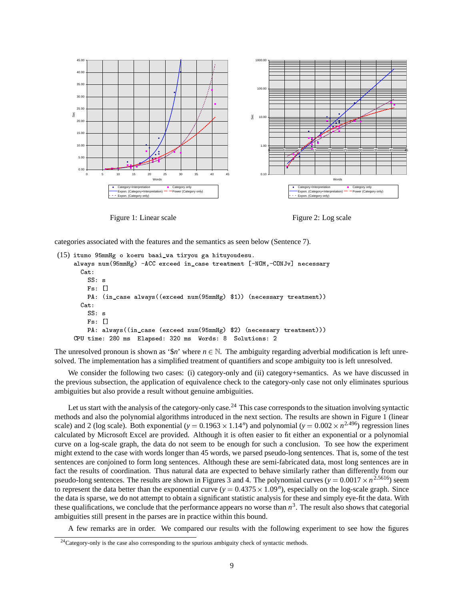

Figure 1: Linear scale



categories associated with the features and the semantics as seen below (Sentence 7).

```
(15) itumo 95mmHg o koeru baai_wa tiryou ga hituyoudesu.
     always nummation in-case treatment numerical in-case treatment numerical in-case of the case of the case of th
       Cat:
          Fs: [] 	
          PA
 in-
case alwaysexceed nummmHg  necessary treatment
       Cat:
          SS: s
          Fs

          exceed nummation and case exceeding the case of the case of the case of the case of the case of the case of the
     communications are the communications of the communications of the communications of the communications of the
```
The unresolved pronoun is shown as '\$*n*' where  $n \in \mathbb{N}$ . The ambiguity regarding adverbial modification is left unresolved. The implementation has a simplified treatment of quantifiers and scope ambiguity too is left unresolved.

We consider the following two cases: (i) category-only and (ii) category+semantics. As we have discussed in the previous subsection, the application of equivalence check to the category-only case not only eliminates spurious ambiguities but also provide a result without genuine ambiguities.

Let us start with the analysis of the category-only case.<sup>24</sup> This case corresponds to the situation involving syntactic methods and also the polynomial algorithms introduced in the next section. The results are shown in Figure 1 (linear scale) and 2 (log scale). Both exponential ( $y = 0.1963 \times 1.14^n$ ) and polynomial ( $y = 0.002 \times n^{2.496}$ ) regression lines calculated by Microsoft Excel are provided. Although it is often easier to fit either an exponential or a polynomial curve on a log-scale graph, the data do not seem to be enough for such a conclusion. To see how the experiment might extend to the case with words longer than 45 words, we parsed pseudo-long sentences. That is, some of the test sentences are conjoined to form long sentences. Although these are semi-fabricated data, most long sentences are in fact the results of coordination. Thus natural data are expected to behave similarly rather than differently from our pseudo-long sentences. The results are shown in Figures 3 and 4. The polynomial curves ( $y = 0.0017 \times n^{2.5616}$ ) seem to represent the data better than the exponential curve  $(y = 0.4375 \times 1.09^n)$ , especially on the log-scale graph. Since the data is sparse, we do not attempt to obtain a significant statistic analysis for these and simply eye-fit the data. With these qualifications, we conclude that the performance appears no worse than  $n<sup>3</sup>$ . The result also shows that categorial ambiguities still present in the parses are in practice within this bound.

A few remarks are in order. We compared our results with the following experiment to see how the figures

 $^{24}$ Category-only is the case also corresponding to the spurious ambiguity check of syntactic methods.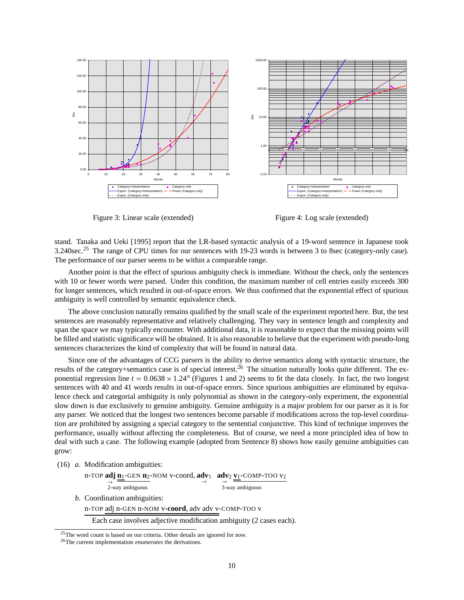

Figure 3: Linear scale (extended)

Figure 4: Log scale (extended)

stand. Tanaka and Ueki [1995] report that the LR-based syntactic analysis of a 19-word sentence in Japanese took 3.240sec.<sup>25</sup> The range of CPU times for our sentences with 19-23 words is between 3 to 8sec (category-only case). The performance of our parser seems to be within a comparable range.

Another point is that the effect of spurious ambiguity check is immediate. Without the check, only the sentences with 10 or fewer words were parsed. Under this condition, the maximum number of cell entries easily exceeds 300 for longer sentences, which resulted in out-of-space errors. We thus confirmed that the exponential effect of spurious ambiguity is well controlled by semantic equivalence check.

The above conclusion naturally remains qualified by the small scale of the experiment reported here. But, the test sentences are reasonably representative and relatively challenging. They vary in sentence length and complexity and span the space we may typically encounter. With additional data, it is reasonable to expect that the missing points will be filled and statistic significance will be obtained. It is also reasonable to believe that the experiment with pseudo-long sentences characterizes the kind of complexity that will be found in natural data.

Since one of the advantages of CCG parsers is the ability to derive semantics along with syntactic structure, the results of the category+semantics case is of special interest.<sup>26</sup> The situation naturally looks quite different. The exponential regression line  $t = 0.0638 \times 1.24^n$  (Figures 1 and 2) seems to fit the data closely. In fact, the two longest sentences with 40 and 41 words results in out-of-space errors. Since spurious ambiguities are eliminated by equivalence check and categorial ambiguity is only polynomial as shown in the category-only experiment, the exponential slow down is due exclusively to genuine ambiguity. Genuine ambiguity is a major problem for our parser as it is for any parser. We noticed that the longest two sentences become parsable if modifications across the top-level coordination are prohibited by assigning a special category to the sentential conjunctive. This kind of technique improves the performance, usually without affecting the completeness. But of course, we need a more principled idea of how to deal with such a case. The following example (adopted from Sentence 8) shows how easily genuine ambiguities can grow:

(16) *a*. Modification ambiguities:

| n-TOP adj n <sub>1</sub> -GEN n <sub>2</sub> -NOM v-coord, adv <sub>1</sub> adv <sub>2</sub> v <sub>1</sub> -COMP-TOO v <sub>2</sub> |                 |
|--------------------------------------------------------------------------------------------------------------------------------------|-----------------|
| 2-way ambiguous                                                                                                                      | 3-way ambiguous |
| b. Coordination ambiguities:                                                                                                         |                 |
| n-TOP adj n-GEN n-NOM v-coord, adv adv v-COMP-TOO v                                                                                  |                 |

Each case involves adjective modification ambiguity (2 cases each).

 $25$ The word count is based on our criteria. Other details are ignored for now.

<sup>26</sup>The current implementation *enumerates* the derivations.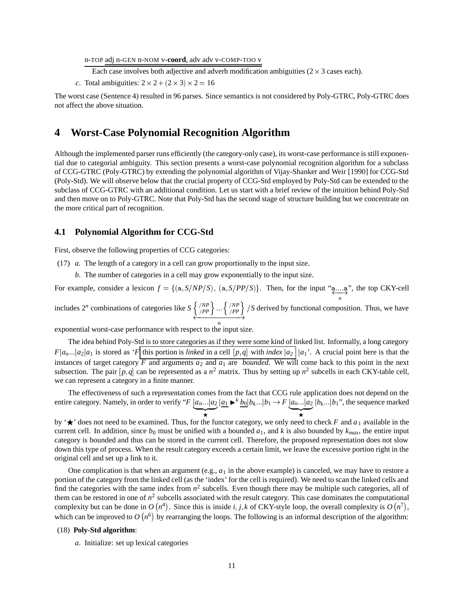n-TOP adj n-GEN n-NOM v-**coord**, adv adv v-COMP-TOO v

Each case involves both adjective and adverb modification ambiguities  $(2 \times 3 \text{ cases each})$ .

*c*. Total ambiguities:  $2 \times 2 + (2 \times 3) \times 2 = 16$ 

The worst case (Sentence 4) resulted in 96 parses. Since semantics is not considered by Poly-GTRC, Poly-GTRC does not affect the above situation.

# **4 Worst-Case Polynomial Recognition Algorithm**

Although the implemented parser runs efficiently (the category-only case), its worst-case performance is still exponential due to categorial ambiguity. This section presents a worst-case polynomial recognition algorithm for a subclass of CCG-GTRC (Poly-GTRC) by extending the polynomial algorithm of Vijay-Shanker and Weir [1990] for CCG-Std (Poly-Std). We will observe below that the crucial property of CCG-Std employed by Poly-Std can be extended to the subclass of CCG-GTRC with an additional condition. Let us start with a brief review of the intuition behind Poly-Std and then move on to Poly-GTRC. Note that Poly-Std has the second stage of structure building but we concentrate on the more critical part of recognition.

#### **4.1 Polynomial Algorithm for CCG-Std**

First, observe the following properties of CCG categories:

- (17) *a*. The length of a category in a cell can grow proportionally to the input size.
	- *b*. The number of categories in a cell may grow exponentially to the input size.

For example, consider a lexicon  $f = \{(\mathbf{a}, S/NP/S), (\mathbf{a}, S/PP/S)\}\)$ . Then, for the input " $\overrightarrow{a}$ ", the top CKY-ce ", the top CKY-cell

includes  $2^n$  combinations of categories like  $S \left\{ \frac{\binom{NP}{PP}}{PP} \right\} \cdots \left\{ \frac{\binom{NP}{PP}}{PP} \right\} / S$  derived by functional composition. Thus, we have

exponential worst-case performance with respect to the input size.

The idea behind Poly-Std is to store categories as if they were some kind of linked list. Informally, a long category  $F|a_n...|a_2|a_1$  is stored as '*F*| this portion is *linked* in a cell  $[p,q]$  with *index*  $|a_2|$  | $a_1$ '. A crucial point here is that the instances of target category  $\overline{F}$  and arguments  $a_2$  and  $a_1$  are *bounded*. We will come back to this point in the next subsection. The pair  $[p,q]$  can be represented as a  $n^2$  matrix. Thus by setting up  $n^2$  subcells in each CKY-table cell, we can represent a category in a finite manner.

The effectiveness of such a representation comes from the fact that CCG rule application does not depend on the entire category. Namely, in order to verify "*F*  $\underline{a_n...|a_2}$   $\underline{a_1} \rightarrow k\underline{b_0|b_k...|b_1} \rightarrow F \underline{a_n...|a_2|b_k...|b_1}$ ", the sequence marked

F<sub>1</sub>

F<sub>1</sub>

by  $\forall \star \checkmark$  does not need to be examined. Thus, for the functor category, we only need to check *F* and  $a_1$  available in the current cell. In addition, since  $b_0$  must be unified with a bounded  $a_1$ , and k is also bounded by  $k_{max}$ , the entire input category is bounded and thus can be stored in the current cell. Therefore, the proposed representation does not slow down this type of process. When the result category exceeds a certain limit, we leave the excessive portion right in the original cell and set up a link to it.

One complication is that when an argument (e.g.,  $a_1$  in the above example) is canceled, we may have to restore a portion of the category from the linked cell (as the 'index' for the cell is required). We need to scan the linked cells and find the categories with the same index from  $n^2$  subcells. Even though there may be multiple such categories, all of them can be restored in one of  $n^2$  subcells associated with the result category. This case dominates the computational complexity but can be done in  $O(n^4)$ . Since this is inside *i*, *j*, *k* of CKY-style loop, the overall complexity is  $O(n^7)$ , which can be improved to  $O(n^6)$  by rearranging the loops. The following is an informal description of the algorithm:

#### (18) **Poly-Std algorithm**:

*a*. Initialize: set up lexical categories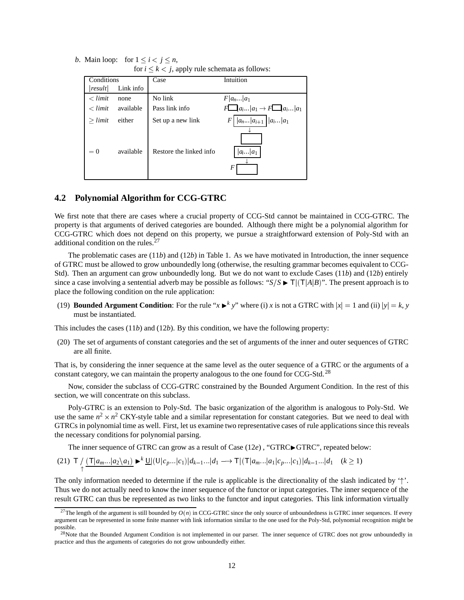|  | <i>b</i> . Main loop: for $1 \le i < j \le n$ ,       |
|--|-------------------------------------------------------|
|  | for $i \leq k \leq i$ annly rule schemata as follows: |

| Conditions      |           | Case                    | Intuition                                   |
|-----------------|-----------|-------------------------|---------------------------------------------|
| result          | Link info |                         |                                             |
| $\langle$ limit | none      | No link                 | $F a_n a_1$                                 |
| $\langle$ limit | available | Pass link info          | $F\Box  a_i a_1 \rightarrow F\Box  a_i a_1$ |
| $>$ limit       | either    | Set up a new link       | $ a_n a_{i+1}   a_i a_1$<br>F               |
| $= 0$           | available | Restore the linked info | $a_i \ldots a_1$<br>F                       |

#### **4.2 Polynomial Algorithm for CCG-GTRC**

We first note that there are cases where a crucial property of CCG-Std cannot be maintained in CCG-GTRC. The property is that arguments of derived categories are bounded. Although there might be a polynomial algorithm for CCG-GTRC which does not depend on this property, we pursue a straightforward extension of Poly-Std with an additional condition on the rules.<sup>27</sup>

The problematic cases are (11*b*) and (12*b*) in Table 1. As we have motivated in Introduction, the inner sequence of GTRC must be allowed to grow unboundedly long (otherwise, the resulting grammar becomes equivalent to CCG-Std). Then an argument can grow unboundedly long. But we do not want to exclude Cases (11*b*) and (12*b*) entirely since a case involving a sentential adverb may be possible as follows: " $S/S \blacktriangleright T | (T|A|B)$ ". The present approach is to place the following condition on the rule application:

(19) **Bounded Argument Condition:** For the rule " $x \rightharpoonup^k y$ " where (i) *x* is not a GTRC with  $|x| = 1$  and (ii)  $|y| = k$ , *y* must be instantiated.

This includes the cases (11*b*) and (12*b*). By this condition, we have the following property:

(20) The set of arguments of constant categories and the set of arguments of the inner and outer sequences of GTRC are all finite.

That is, by considering the inner sequence at the same level as the outer sequence of a GTRC or the arguments of a constant category, we can maintain the property analogous to the one found for CCG-Std.<sup>28</sup>

Now, consider the subclass of CCG-GTRC constrained by the Bounded Argument Condition. In the rest of this section, we will concentrate on this subclass.

Poly-GTRC is an extension to Poly-Std. The basic organization of the algorithm is analogous to Poly-Std. We use the same  $n^2 \times n^2$  CKY-style table and a similar representation for constant categories. But we need to deal with GTRCs in polynomial time as well. First, let us examine two representative cases of rule applications since this reveals the necessary conditions for polynomial parsing.

The inner sequence of GTRC can grow as a result of Case  $(12e)$ , "GTRC $\blacktriangleright$ GTRC", repeated below:

$$
(21) \ \mathsf{T} \Big/ \frac{(\mathsf{T}|a_{m\cdots} |a_2 \setminus a_1)}{\uparrow} \blacktriangleright^{k} \underline{\mathsf{U}} |(\mathsf{U}|c_p \dots |c_1)| d_{k-1} \dots |d_1 \longrightarrow \mathsf{T}|(\mathsf{T}|a_{m\cdots} |a_1|c_p \dots |c_1)| d_{k-1} \dots |d_1 \quad (k \ge 1)
$$

The only information needed to determine if the rule is applicable is the directionality of the slash indicated by '<sup>†</sup>'. Thus we do not actually need to know the inner sequence of the functor or input categories. The inner sequence of the result GTRC can thus be represented as two links to the functor and input categories. This link information virtually

<sup>&</sup>lt;sup>27</sup>The length of the argument is still bounded by  $O(n)$  in CCG-GTRC since the only source of unboundedness is GTRC inner sequences. If every argument can be represented in some finite manner with link information similar to the one used for the Poly-Std, polynomial recognition might be possible.

<sup>&</sup>lt;sup>28</sup>Note that the Bounded Argument Condition is not implemented in our parser. The inner sequence of GTRC does not grow unboundedly in practice and thus the arguments of categories do not grow unboundedly either.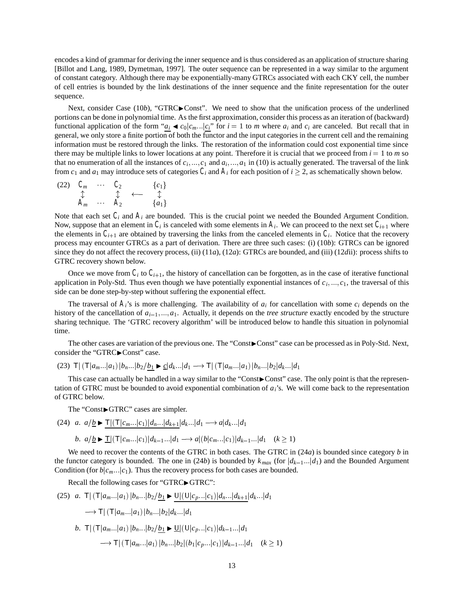encodes a kind of grammar for deriving the inner sequence and is thus considered as an application of structure sharing [Billot and Lang, 1989, Dymetman, 1997]. The outer sequence can be represented in a way similar to the argument of constant category. Although there may be exponentially-many GTRCs associated with each CKY cell, the number of cell entries is bounded by the link destinations of the inner sequence and the finite representation for the outer sequence.

Next, consider Case (10*b*), "GTRC $\blacktriangleright$ Const". We need to show that the unification process of the underlined portions can be done in polynomial time. As the first approximation, consider this process as an iteration of (backward) functional application of the form " $a_i \triangleleft c_0 | c_m \dots | c_i$ " for  $i = 1$  to *m* where  $a_i$  and  $c_i$  are canceled. But recall that in general, we only store a finite portion of both the functor and the input categories in the current cell and the remaining information must be restored through the links. The restoration of the information could cost exponential time since there may be multiple links to lower locations at any point. Therefore it is crucial that we proceed from  $i = 1$  to  $m$  so that no enumeration of all the instances of  $c_i, ..., c_1$  and  $a_i, ..., a_1$  in (10) is actually generated. The traversal of the link from  $c_1$  and  $a_1$  may introduce sets of categories  $C_i$  and  $A_i$  for each position of  $i \ge 2$ , as schematically shown below.

 $\begin{array}{ccccccc} (22) & C_m & \cdots & C_2 & & & \{c_1\} & & & \updownarrow & & \updownarrow & & \cdots & \updownarrow & \ & A_m & \cdots & A_2 & & & \{a_1\} \end{array}$ 

Note that each set  $C_i$  and  $A_i$  are bounded. This is the crucial point we needed the Bounded Argument Condition. Now, suppose that an element in  $C_i$  is canceled with some elements in  $A_i$ . We can proceed to the next set  $C_{i+1}$  where the elements in  $C_{i+1}$  are obtained by traversing the links from the canceled elements in  $C_i$ . Notice that the recovery process may encounter GTRCs as a part of derivation. There are three such cases: (i) (10*b*): GTRCs can be ignored since they do not affect the recovery process, (ii) (11*a*), (12*a*): GTRCs are bounded, and (iii) (12*d*ii): process shifts to GTRC recovery shown below.

Once we move from  $C_i$  to  $C_{i+1}$ , the history of cancellation can be forgotten, as in the case of iterative functional application in Poly-Std. Thus even though we have potentially exponential instances of  $c_i, ..., c_1$ , the traversal of this side can be done step-by-step without suffering the exponential effect.

The traversal of  $A_i$ 's is more challenging. The availability of  $a_i$  for cancellation with some  $c_i$  depends on the history of the cancellation of  $a_{i-1},...,a_1$ . Actually, it depends on the *tree structure* exactly encoded by the structure sharing technique. The 'GTRC recovery algorithm' will be introduced below to handle this situation in polynomial time.

The other cases are variation of the previous one. The "Const>Const" case can be processed as in Poly-Std. Next, consider the "GTRC $\blacktriangleright$  Const" case.

(23)  $T | (T|a_m...|a_1) |b_n...|b_2/b_1 \triangleright c|d_k...|d_1 \longrightarrow T | (T|a_m...|a_1) |b_n...|b_2|d_k...|d_1$ 

This case can actually be handled in a way similar to the "Const>Const" case. The only point is that the representation of GTRC must be bounded to avoid exponential combination of *ai*'s. We will come back to the representation of GTRC below.

The "ConstrGTRC" cases are simpler.

$$
(24) \ a. \ a/\underline{b} \blacktriangleright \frac{\mathsf{T}|(\mathsf{T}|c_m...|c_1)|d_n...|d_{k+1}|d_k...|d_1 \longrightarrow a|d_k...|d_1}{b. \ a/\underline{b} \blacktriangleright \mathsf{T}|(\mathsf{T}|c_m...|c_1)|d_{k-1}...|d_1 \longrightarrow a|(b|c_m...|c_1)|d_{k-1}...|d_1 \quad (k \ge 1)
$$

We need to recover the contents of the GTRC in both cases. The GTRC in (24*a*) is bounded since category *b* in the functor category is bounded. The one in (24*b*) is bounded by  $k_{max}$  (for  $|d_{k-1}...|d_1$ ) and the Bounded Argument Condition (for  $b|c_m$ *<sub>n</sub>*] $c_1$ ). Thus the recovery process for both cases are bounded.

Recall the following cases for "GTRC $\blacktriangleright$  GTRC":

(25) 
$$
a. \ T | (T | a_m ... | a_1) | b_n ... | b_2 / \underline{b_1} \triangleright \underline{U} | (U | c_p ... | c_1) | d_n ... | d_{k+1} | d_k ... | d_1
$$
  
\n $\longrightarrow T | (T | a_m ... | a_1) | b_n ... | b_2 | d_k ... | d_1$   
\n $b. \ T | (T | a_m ... | a_1) | b_n ... | b_2 / \underline{b_1} \triangleright \underline{U} | (U | c_p ... | c_1) | d_{k-1} ... | d_1$   
\n $\longrightarrow T | (T | a_m ... | a_1) | b_n ... | b_2 | (b_1 | c_p ... | c_1) | d_{k-1} ... | d_1 \quad (k \ge 1)$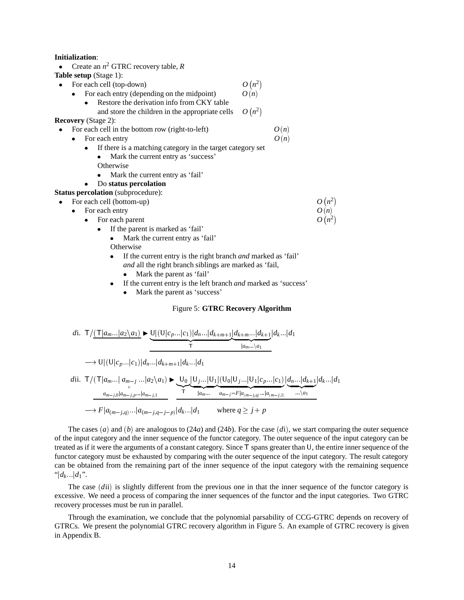#### **Initialization**:

• Create an  $n^2$  GTRC recovery table,  $R$ 

**Table setup** (Stage 1):

- $\bullet$ For each cell (top-down)  $O(n^2)$ <br>• For each entry (depending on the midpoint)  $O(n)$  $\bullet$ For each entry (depending on the midpoint)
	- . Restore the derivation info from CKY table
- and store the children in the appropriate cells  $O(n^2)$ **Recovery** (Stage 2):
- $\bullet$ For each cell in the bottom row (right-to-left)  $O(n)$ 
	- $\bullet$ For each entry  $O(n)$ 
		- $\bullet$  If there is a matching category in the target category set
			- $\bullet$  Mark the current entry as 'success' **Otherwise**
			- . Mark the current entry as 'fail'

#### . Do **status percolation**

- **Status percolation** (subprocedure):
- .. For each cell (bottom-up)
	- For each entry  $O(n)$
	- $\bullet$ For each parent  $O(n^2)$ 
		- If the parent is marked as 'fail'
			- .. Mark the current entry as 'fail'
			- **Otherwise**
			- $\bullet$  If the current entry is the right branch *and* marked as 'fail' *and* all the right branch siblings are marked as 'fail,  $\bullet$ Mark the parent as 'fail'
			- . If the current entry is the left branch *and* marked as 'success'
				- . . Mark the parent as 'success'

#### Figure 5: **GTRC Recovery Algorithm**

 $O(n^2)$ 

 $O(n^2)$ 

*d*i. TT<sup>j</sup>*am*j*a*2n*a*1 <sup>I</sup> UjUj*cp*<sup>j</sup>*c*1j*dn* j*dkm*<sup>1</sup> z <sup>j</sup>*dkm*j*dk*<sup>1</sup> z <sup>j</sup>*am* n*a*<sup>1</sup> <sup>j</sup>*dk* j*d*<sup>1</sup> UjUj*cp* j*c*1j*dn*j*dkm*1j*dk* j*d*<sup>1</sup> *d*ii. TTj*am*j *am <sup>j</sup>* <sup>j</sup>*a*2n*a*<sup>1</sup> *am <sup>j</sup>*<sup>0</sup> <sup>j</sup>*am j p* j*am j*1 <sup>I</sup> <sup>U</sup>0 z <sup>T</sup> jU*j* jU1 z <sup>j</sup>*am* jU<sup>0</sup> jU*<sup>j</sup>* jU<sup>1</sup> <sup>j</sup>*cp*j*c*1 z j*am <sup>j</sup>F* <sup>j</sup>*am jq* j*am j*1 *dn* j*dk*<sup>1</sup> z n*a*<sup>1</sup> <sup>j</sup>*dk* j*d*<sup>1</sup> *F* <sup>j</sup>*am j<sup>q</sup>*<sup>j</sup>*am j<sup>q</sup> <sup>j</sup>p*<sup>j</sup>*dk* <sup>j</sup>*d*<sup>1</sup> where *q j p*

The cases  $(a)$  and  $(b)$  are analogous to  $(24a)$  and  $(24b)$ . For the case  $(di)$ , we start comparing the outer sequence of the input category and the inner sequence of the functor category. The outer sequence of the input category can be treated as if it were the arguments of a constant category. Since <sup>T</sup> spans greater than <sup>U</sup>, the entire inner sequence of the functor category must be exhausted by comparing with the outer sequence of the input category. The result category can be obtained from the remaining part of the inner sequence of the input category with the remaining sequence " $|d_k|/d_1$ ".

The case (dii) is slightly different from the previous one in that the inner sequence of the functor category is excessive. We need a process of comparing the inner sequences of the functor and the input categories. Two GTRC recovery processes must be run in parallel.

Through the examination, we conclude that the polynomial parsability of CCG-GTRC depends on recovery of GTRCs. We present the polynomial GTRC recovery algorithm in Figure 5. An example of GTRC recovery is given in Appendix B.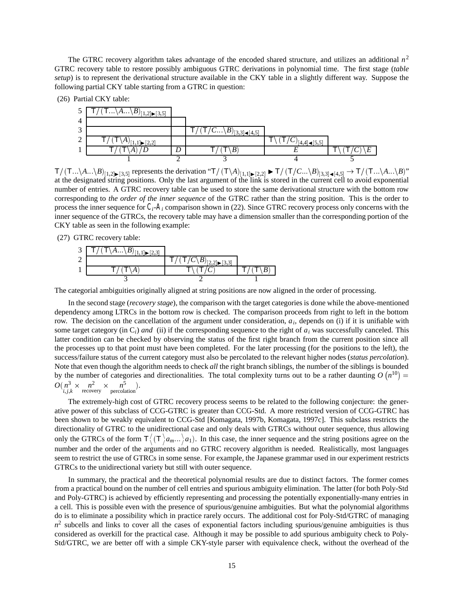The GTRC recovery algorithm takes advantage of the encoded shared structure, and utilizes an additional *n*<sup>2</sup> GTRC recovery table to restore possibly ambiguous GTRC derivations in polynomial time. The first stage (*table setup*) is to represent the derivational structure available in the CKY table in a slightly different way. Suppose the following partial CKY table starting from a GTRC in question:

|            | (26) Partial CKY table:                              |                                        |  |
|------------|------------------------------------------------------|----------------------------------------|--|
|            | $\mathsf{I} \ldots \backslash A \ldots \backslash B$ |                                        |  |
|            |                                                      |                                        |  |
| $\sqrt{2}$ |                                                      | $(\top/C \setminus B)_{12,2}$<br>[4.5] |  |
|            |                                                      |                                        |  |
|            |                                                      |                                        |  |
|            |                                                      |                                        |  |

 $\mathsf{T}/(\mathsf{T}...\setminus A...\setminus B)_{[1,2]\blacktriangleright [3,5]}$  represents the derivation " $\mathsf{T}/(\mathsf{T}\setminus A)_{[1,1]\blacktriangleright [2,2]}$   $\blacktriangleright \mathsf{T}/(\mathsf{T}/C...\setminus B)_{[3,3]\blacktriangleleft [4,5]}$   $\rightarrow \mathsf{T}/(\mathsf{T}...\setminus A...\setminus B)$ " at the designated string positions. Only the last argument of the link is stored in the current cell to avoid exponential number of entries. A GTRC recovery table can be used to store the same derivational structure with the bottom row corresponding to *the order of the inner sequence* of the GTRC rather than the string position. This is the order to process the inner sequence for  $C_i$ - $A_i$  comparison shown in (22). Since GTRC recovery process only concerns with the inner sequence of the GTRCs, the recovery table may have a dimension smaller than the corresponding portion of the

(27) GTRC recovery table:

CKY table as seen in the following example:

| 3 <sup>1</sup> | $\overline{\mathsf{T}/(\mathsf{T}\backslash A\backslash B)}_{[1,1]\blacktriangleright [2,3]}$ |                                                                     |  |
|----------------|-----------------------------------------------------------------------------------------------|---------------------------------------------------------------------|--|
|                |                                                                                               | $/ \left( T/C\backslash B \right)_{[2,2]\blacktriangleright [3,3]}$ |  |
|                |                                                                                               |                                                                     |  |
|                |                                                                                               |                                                                     |  |

The categorial ambiguities originally aligned at string positions are now aligned in the order of processing.

In the second stage (*recovery stage*), the comparison with the target categories is done while the above-mentioned dependency among LTRCs in the bottom row is checked. The comparison proceeds from right to left in the bottom row. The decision on the cancellation of the argument under consideration, *ai*, depends on (i) if it is unifiable with some target category (in  $C_i$ ) *and* (ii) if the corresponding sequence to the right of  $a_i$  was successfully canceled. This latter condition can be checked by observing the status of the first right branch from the current position since all the processes up to that point must have been completed. For the later processing (for the positions to the left), the success/failure status of the current category must also be percolated to the relevant higher nodes (*status percolation*). Note that even though the algorithm needs to check *all* the right branch siblings, the number of the siblings is bounded by the number of categories and directionalities. The total complexity turns out to be a rather daunting  $O(n^{10}) =$  $O(n^3 \times n^2 \times n^5)$ .<br> *i*, *j*, *k* recovery percolation.

The extremely-high cost of GTRC recovery process seems to be related to the following conjecture: the generative power of this subclass of CCG-GTRC is greater than CCG-Std. A more restricted version of CCG-GTRC has been shown to be weakly equivalent to CCG-Std [Komagata, 1997b, Komagata, 1997c]. This subclass restricts the directionality of GTRC to the unidirectional case and only deals with GTRCs without outer sequence, thus allowing only the GTRCs of the form  $\mathsf{T}\langle (\mathsf{T}\rangle a_{m}...\rangle a_1)$ . In this case, the inner sequence and the string positions agree on the number and the order of the arguments and no GTRC recovery algorithm is needed. Realistically, most languages seem to restrict the use of GTRCs in some sense. For example, the Japanese grammar used in our experiment restricts GTRCs to the unidirectional variety but still with outer sequence.

In summary, the practical and the theoretical polynomial results are due to distinct factors. The former comes from a practical bound on the number of cell entries and spurious ambiguity elimination. The latter (for both Poly-Std and Poly-GTRC) is achieved by efficiently representing and processing the potentially exponentially-many entries in a cell. This is possible even with the presence of spurious/genuine ambiguities. But what the polynomial algorithms do is to eliminate a possibility which in practice rarely occurs. The additional cost for Poly-Std/GTRC of managing  $n<sup>2</sup>$  subcells and links to cover all the cases of exponential factors including spurious/genuine ambiguities is thus considered as overkill for the practical case. Although it may be possible to add spurious ambiguity check to Poly-Std/GTRC, we are better off with a simple CKY-style parser with equivalence check, without the overhead of the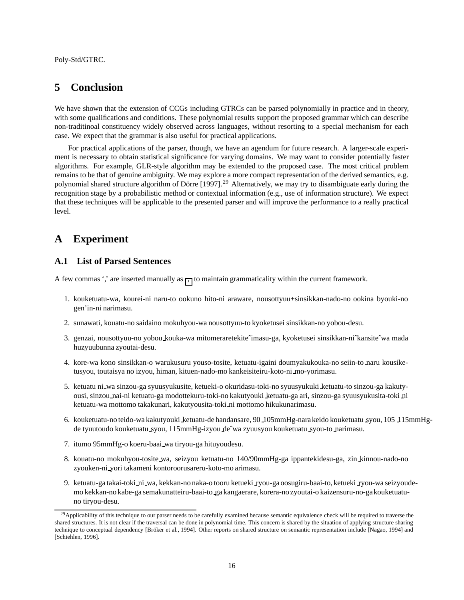Poly-Std/GTRC.

# **5 Conclusion**

We have shown that the extension of CCGs including GTRCs can be parsed polynomially in practice and in theory, with some qualifications and conditions. These polynomial results support the proposed grammar which can describe non-traditinoal constituency widely observed across languages, without resorting to a special mechanism for each case. We expect that the grammar is also useful for practical applications.

For practical applications of the parser, though, we have an agendum for future research. A larger-scale experiment is necessary to obtain statistical significance for varying domains. We may want to consider potentially faster algorithms. For example, GLR-style algorithm may be extended to the proposed case. The most critical problem remains to be that of genuine ambiguity. We may explore a more compact representation of the derived semantics, e.g. polynomial shared structure algorithm of Dörre [1997].<sup>29</sup> Alternatively, we may try to disambiguate early during the recognition stage by a probabilistic method or contextual information (e.g., use of information structure). We expect that these techniques will be applicable to the presented parser and will improve the performance to a really practical level.

# **A Experiment**

### **A.1 List of Parsed Sentences**

A few commas ',' are inserted manually as  $\frac{1}{1}$  to maintain grammaticality within the current framework.

- 1. kouketuatu-wa, kourei-ni naru-to ookuno hito-ni araware, nousottyuu+sinsikkan-nado-no ookina byouki-no gen'in-ni narimasu.
- 2. sunawati, kouatu-no saidaino mokuhyou-wa nousottyuu-to kyoketusei sinsikkan-no yobou-desu.
- 3. genzai, nousottyuu-no yobou kouka-wa mitomeraretekiteˆimasu-ga, kyoketusei sinsikkan-niˆkansiteˆwa mada huzyuubunna zyoutai-desu.
- 4. kore-wa kono sinsikkan-o warukusuru youso-tosite, ketuatu-igaini doumyakukouka-no seiin-to naru kousiketusyou, toutaisya no izyou, himan, kituen-nado-mo kankeisiteiru-koto-ni mo-yorimasu.
- 5. ketuatu ni wa sinzou-ga syuusyukusite, ketueki-o okuridasu-toki-no syuusyukuki ketuatu-to sinzou-ga kakutyousi, sinzou nai-ni ketuatu-ga modottekuru-toki-no kakutyouki ketuatu-ga ari, sinzou-ga syuusyukusita-toki ni ketuatu-wa mottomo takakunari, kakutyousita-toki ni mottomo hikukunarimasu.
- 6. kouketuatu-no teido-wa kakutyouki ketuatu-de handansare, 90 105mmHg-nara keido kouketuatu syou, 105 115mmHgde tyuutoudo kouketuatu syou, 115mmHg-izyou deˆwa zyuusyou kouketuatu syou-to narimasu.
- 7. itumo 95mmHg-o koeru-baai wa tiryou-ga hituyoudesu.
- 8. kouatu-no mokuhyou-tosite wa, seizyou ketuatu-no 140/90mmHg-ga ippantekidesu-ga, zin kinnou-nado-no zyouken-ni yori takameni kontoroorusareru-koto-mo arimasu.
- 9. ketuatu-ga takai-toki ni wa, kekkan-no naka-o tooru ketueki ryou-ga oosugiru-baai-to, ketueki ryou-wa seizyoudemo kekkan-no kabe-ga semakunatteiru-baai-to ga kangaerare, korera-no zyoutai-o kaizensuru-no-ga kouketuatuno tiryou-desu.

<sup>&</sup>lt;sup>29</sup> Applicability of this technique to our parser needs to be carefully examined because semantic equivalence check will be required to traverse the shared structures. It is not clear if the traversal can be done in polynomial time. This concern is shared by the situation of applying structure sharing technique to conceptual dependency [Bröker et al., 1994]. Other reports on shared structure on semantic representation include [Nagao, 1994] and [Schiehlen, 1996].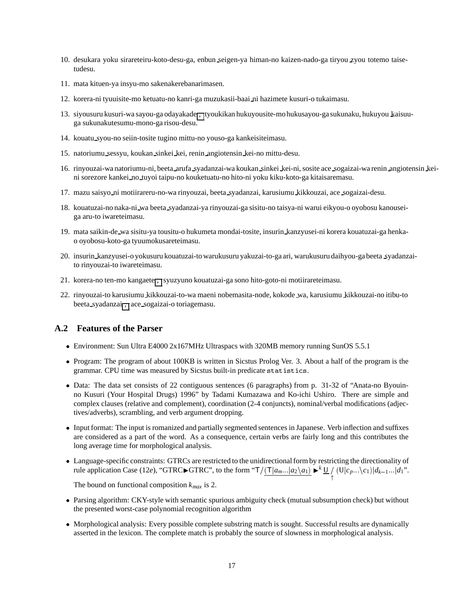- 10. desukara yoku sirareteiru-koto-desu-ga, enbun seigen-ya himan-no kaizen-nado-ga tiryou zyou totemo taisetudesu.
- 11. mata kituen-ya insyu-mo sakenakerebanarimasen.
- 12. korera-ni tyuuisite-mo ketuatu-no kanri-ga muzukasii-baai ni hazimete kusuri-o tukaimasu.
- 13. siyousuru kusuri-wa sayou-ga odayakade , tyoukikan hukuyousite-mo hukusayou-ga sukunaku, hukuyou kaisuuga sukunakutesumu-mono-ga risou-desu.
- 14. kouatu syou-no seiin-tosite tugino mittu-no youso-ga kankeisiteimasu.
- 15. natoriumu sessyu, koukan sinkei kei, renin angiotensin kei-no mittu-desu.
- 16. rinyouzai-wa natoriumu-ni, beeta arufa syadanzai-wa koukan sinkei kei-ni, sosite ace sogaizai-wa renin angiotensin keini sorezore kankei no tuyoi taipu-no kouketuatu-no hito-ni yoku kiku-koto-ga kitaisaremasu.
- 17. mazu saisyo ni motiirareru-no-wa rinyouzai, beeta syadanzai, karusiumu kikkouzai, ace sogaizai-desu.
- 18. kouatuzai-no naka-ni wa beeta syadanzai-ya rinyouzai-ga sisitu-no taisya-ni warui eikyou-o oyobosu kanouseiga aru-to iwareteimasu.
- 19. mata saikin-de wa sisitu-ya tousitu-o hukumeta mondai-tosite, insurin kanzyusei-ni korera kouatuzai-ga henkao oyobosu-koto-ga tyuumokusareteimasu.
- 20. insurin kanzyusei-o yokusuru kouatuzai-to warukusuru yakuzai-to-ga ari, warukusuru daihyou-ga beeta syadanzaito rinyouzai-to iwareteimasu.
- 21. korera-no ten-mo kangaeter, syuzyuno kouatuzai-ga sono hito-goto-ni motiirareteimasu.
- 22. rinyouzai-to karusiumu kikkouzai-to-wa maeni nobemasita-node, kokode wa, karusiumu kikkouzai-no itibu-to beeta syadanzai<sup>,</sup>, ace sogaizai-o toriagemasu.

#### **A.2 Features of the Parser**

- Environment: Sun Ultra E4000 2x167MHz Ultraspacs with 320MB memory running SunOS 5.5.1
- Program: The program of about 100KB is written in Sicstus Prolog Ver. 3. About a half of the program is the grammar. CPU time was measured by Sicstus built-in predicate statistics.
- Data: The data set consists of 22 contiguous sentences (6 paragraphs) from p. 31-32 of "Anata-no Byouinno Kusuri (Your Hospital Drugs) 1996" by Tadami Kumazawa and Ko-ichi Ushiro. There are simple and complex clauses (relative and complement), coordination (2-4 conjuncts), nominal/verbal modifications (adjectives/adverbs), scrambling, and verb argument dropping.
- Input format: The input is romanized and partially segmented sentences in Japanese. Verb inflection and suffixes are considered as a part of the word. As a consequence, certain verbs are fairly long and this contributes the long average time for morphological analysis.
- Language-specific constraints: GTRCs are restricted to the unidirectional form by restricting the directionality of rule application Case (12*e*), "GTRC $\blacktriangleright$ GTRC", to the form " $\frac{\Gamma}{\Gamma}$  $\frac{(\Gamma|a_m...|a_2\setminus a_1)}{\uparrow}$   $\blacktriangleright^{k}$  <u>U</u><sub>/</sub> (U|c<sub>p</sub>...\c<sub>1</sub>)|d<sub>k-1</sub>...|d<sub>1</sub>".

The bound on functional composition *kmax* is 2.

- Parsing algorithm: CKY-style with semantic spurious ambiguity check (mutual subsumption check) but without the presented worst-case polynomial recognition algorithm
- Morphological analysis: Every possible complete substring match is sought. Successful results are dynamically asserted in the lexicon. The complete match is probably the source of slowness in morphological analysis.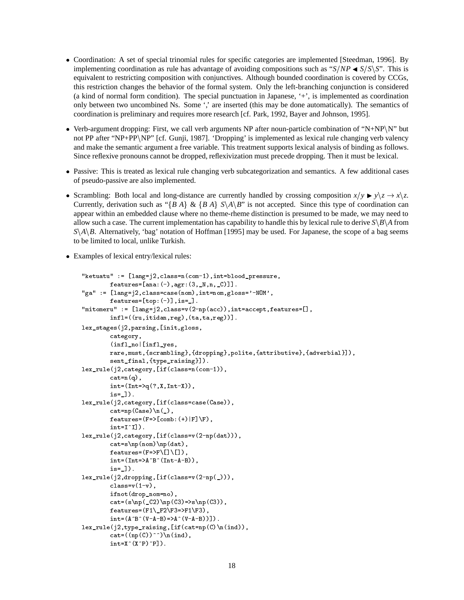- Coordination: A set of special trinomial rules for specific categories are implemented [Steedman, 1996]. By implementing coordination as rule has advantage of avoiding compositions such as " $S/NP \blacktriangleleft S/S\$ ". This is equivalent to restricting composition with conjunctives. Although bounded coordination is covered by CCGs, this restriction changes the behavior of the formal system. Only the left-branching conjunction is considered (a kind of normal form condition). The special punctuation in Japanese, '+', is implemented as coordination only between two uncombined Ns. Some ',' are inserted (this may be done automatically). The semantics of coordination is preliminary and requires more research [cf. Park, 1992, Bayer and Johnson, 1995].
- Verb-argument dropping: First, we call verb arguments NP after noun-particle combination of "N+NP $\N$ " but not PP after "NP+PP\NP" [cf. Gunji, 1987]. 'Dropping' is implemented as lexical rule changing verb valency and make the semantic argument a free variable. This treatment supports lexical analysis of binding as follows. Since reflexive pronouns cannot be dropped, reflexivization must precede dropping. Then it must be lexical.
- Passive: This is treated as lexical rule changing verb subcategorization and semantics. A few additional cases of pseudo-passive are also implemented.
- Scrambling: Both local and long-distance are currently handled by crossing composition  $x/y \rightarrow y \setminus z \rightarrow x \setminus z$ . Currently, derivation such as "{*B A*} & {*B A*}  $S \setminus A \setminus B$ " is not accepted. Since this type of coordination can appear within an embedded clause where no theme-rheme distinction is presumed to be made, we may need to allow such a case. The current implementation has capability to handle this by lexical rule to derive  $S\backslash B\backslash A$  from  $S\$ <sup>A</sup> $\beta$ . Alternatively, 'bag' notation of Hoffman [1995] may be used. For Japanese, the scope of a bag seems to be limited to local, unlike Turkish.
- Examples of lexical entry/lexical rules:

```
ketuatud kalendari pressure kalendari pressure kalendari pressure kalendari pressure kalendari pressure kalend
                featuresana
agr
-
Nn-
C		
ga is the contract of the contract of the contract of the contract of the contract of the contract of the contract of the contract of the contract of the contract of the contract of the contract of the contract of the cont
                featurest in the state of the state of the state of the state of the state of the state of the state of the state of the state of the state of the state of the state of the state of the state of the state of the state of t
n and class in the class of the class of the contract of the contract of the contract of the contract of the c
                inf1=((ru,itidan,reg),(ta,ta,reg)).
stages in the stages of the stages of the stages of the stages of the stages of the stages of the stages of th
                category
                inflation in the contract of the contract of the contract of the contract of the contract of the contract of the contract of the contract of the contract of the contract of the contract of the contract of the contract of t
                rare, must, {scrambling}, {dropping}, polite, {attributive}, {adverbial}]),
                sent-management in the sent-management of the sent-management of the sent-management of the sent-management of
lex-
rulej
categoryifclassncom
                cat=n(q),
                int=(Int=\geq q(?,X,Int-X)),
                is = 1.

rulej categoryifische categoryifische categoryifische categoryifische categoryifische categoryifische category
                case cases and cases are considered as a consequence of the consequence of the consequence of the consequence o
                featuresFeaturesFeaturesFeaturesFeaturesFeaturesFeaturesFeaturesFeaturesFeaturesFeaturesFeaturesFeaturesFeatur
                int=I^I].
rulej kaj kategoryi (m. 1919)
                cat=s\np(nom)\np(dat),
                features=(F=\geq F\setminus []\setminus []),
                int=(Int=\lambda^B)(Int-A-B)),is-construction of the construction of the construction of the construction of the construction of the construction of the construction of the construction of the construction of the construction of the construction of the
lex-
rulej
droppingifclassv
np-

                class=v(1-v),
                ifnotdrop-
nomno
                n i i se statistik i strandistik i strandistik i strandistik i strandistik i strandistik i strandistik i stran
                \blacksquare for the following the following the function of \blacksquareint=(A^B^*(V-A-B)=A^*(V-A-B)).
lex-
rulej
type-
raisingifcatnpCnind
                cat=((np(C))^{\hat{}})\n(n(ind)),int=X^*(X^*P)^*P].
```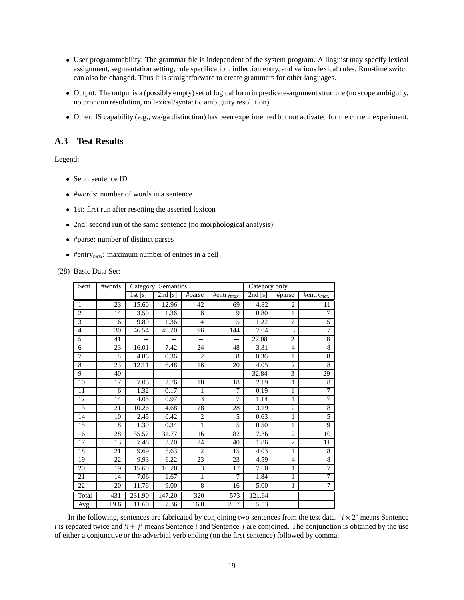- User programmability: The grammar file is independent of the system program. A linguist may specify lexical assignment, segmentation setting, rule specification, inflection entry, and various lexical rules. Run-time switch can also be changed. Thus it is straightforward to create grammars for other languages.
- Output: The output is a (possibly empty) set of logical form in predicate-argument structure (no scope ambiguity, no pronoun resolution, no lexical/syntactic ambiguity resolution).
- Other: IS capability (e.g., wa/ga distinction) has been experimented but not activated for the current experiment.

# **A.3 Test Results**

Legend:

- Sent: sentence ID
- #words: number of words in a sentence
- 1st: first run after resetting the asserted lexicon
- 2nd: second run of the same sentence (no morphological analysis)
- #parse: number of distinct parses
- #entry*max*: maximum number of entries in a cell

#### (28) Basic Data Set:

| Sent           | #words |        | Category+Semantics  |                |                          | Category only |                |                       |
|----------------|--------|--------|---------------------|----------------|--------------------------|---------------|----------------|-----------------------|
|                |        | 1st[s] | $\overline{2}nd[s]$ | #parse         | #entry $_{max}$          | 2nd[s]        | #parse         | #entry <sub>max</sub> |
| 1              | 23     | 15.60  | 12.96               | 42             | 69                       | 4.82          | 2              | 11                    |
| $\overline{2}$ | 14     | 3.50   | 1.36                | 6              | 9                        | 0.80          | 1              | 7                     |
| $\overline{3}$ | 16     | 9.80   | 1.36                | $\overline{4}$ | 5                        | 1.22          | $\overline{c}$ | 5                     |
| $\overline{4}$ | 30     | 46.54  | 40.20               | 96             | 144                      | 7.04          | 3              | $\overline{7}$        |
| 5              | 41     |        |                     |                |                          | 27.08         | $\overline{c}$ | $\overline{8}$        |
| 6              | 23     | 16.01  | 7.42                | 24             | 48                       | 3.31          | $\overline{4}$ | $\,$ 8 $\,$           |
| $\overline{7}$ | 8      | 4.86   | 0.36                | $\overline{2}$ | 8                        | 0.36          | 1              | $\,$ 8 $\,$           |
| $\,8\,$        | 23     | 12.11  | 6.48                | 16             | 20                       | 4.05          | $\overline{2}$ | 8                     |
| 9              | 40     |        |                     | $\equiv$       | $\overline{\phantom{0}}$ | 32.84         | 3              | 29                    |
| 10             | 17     | 7.05   | 2.76                | 18             | 18                       | 2.19          | 1              | 8                     |
| 11             | 6      | 1.32   | 0.17                | $\mathbf{1}$   | $\overline{7}$           | 0.19          | 1              | 7                     |
| 12             | 14     | 4.05   | 0.97                | 3              | 7                        | 1.14          | $\mathbf{1}$   | $\overline{7}$        |
| 13             | 21     | 10.26  | 4.68                | 28             | 28                       | 3.19          | $\overline{2}$ | 8                     |
| 14             | 10     | 2.45   | 0.42                | $\overline{2}$ | 5                        | 0.63          | 1              | 5                     |
| 15             | 8      | 1.30   | 0.34                | $\mathbf{1}$   | 5                        | 0.50          | 1              | $\overline{9}$        |
| 16             | 28     | 35.57  | 31.77               | 16             | 82                       | 7.36          | $\overline{2}$ | 10                    |
| 17             | 13     | 7.48   | 3.20                | 24             | 40                       | 1.86          | $\mathbf{2}$   | 11                    |
| 18             | 21     | 9.69   | 5.63                | $\overline{2}$ | 15                       | 4.03          | 1              | 8                     |
| 19             | 22     | 9.93   | 6.22                | 23             | 23                       | 4.59          | $\overline{4}$ | $\,$ 8 $\,$           |
| 20             | 19     | 15.60  | 10.20               | 3              | 17                       | 7.60          | 1              | $\overline{7}$        |
| 21             | 14     | 7.06   | 1.67                | 1              | 7                        | 1.84          | 1              | 7                     |
| 22             | 20     | 11.76  | 9.00                | 8              | 16                       | 5.00          | 1              | $\overline{7}$        |
| Total          | 431    | 231.90 | 147.20              | 320            | 573                      | 121.64        |                |                       |
| Avg            | 19.6   | 11.60  | 7.36                | 16.0           | 28.7                     | 5.53          |                |                       |

In the following, sentences are fabricated by conjoining two sentences from the test data.  $i \times 2$  means Sentence *i* is repeated twice and  $i + j$  means Sentence *i* and Sentence *j* are conjoined. The conjunction is obtained by the use of either a conjunctive or the adverbial verb ending (on the first sentence) followed by comma.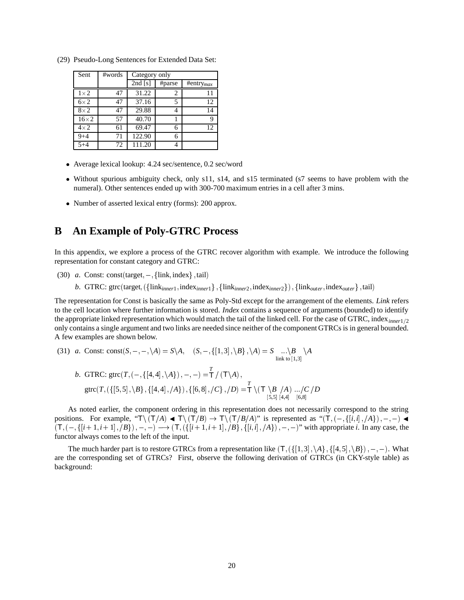| Sent        | #words | Category only        |        |                           |  |
|-------------|--------|----------------------|--------|---------------------------|--|
|             |        | $\overline{2nd}$ [s] | #parse | $\#$ entry <sub>max</sub> |  |
| $1\times2$  | 47     | 31.22                | 2      | 11                        |  |
| $6\times2$  | 47     | 37.16                | 5      | 12                        |  |
| $8\times2$  | 47     | 29.88                |        | 14                        |  |
| $16\times2$ | 57     | 40.70                |        | 9                         |  |
| $4\times2$  | 61     | 69.47                | 6      | 12                        |  |
| $9 + 4$     | 71     | 122.90               | 6      |                           |  |
| $5 + 4$     | 72     | 111.20               |        |                           |  |

(29) Pseudo-Long Sentences for Extended Data Set:

- Average lexical lookup: 4.24 sec/sentence, 0.2 sec/word
- Without spurious ambiguity check, only s11, s14, and s15 terminated (s7 seems to have problem with the numeral). Other sentences ended up with 300-700 maximum entries in a cell after 3 mins.
- Number of asserted lexical entry (forms): 200 approx.

# **B An Example of Poly-GTRC Process**

In this appendix, we explore a process of the GTRC recover algorithm with example. We introduce the following representation for constant category and GTRC:

- (30) *a*. Const: const(target,  $-$ , {link, index}, tail)
	- b. GTRC: gtrc(target,  $(\{\text{link}_{inner1}, \text{index}_{inner1}\}, \{\text{link}_{inner2}, \text{index}_{inner2}\})$ ,  $\{\text{link}_{outer}, \text{index}_{outer}\}$ , tail)

The representation for Const is basically the same as Poly-Std except for the arrangement of the elements. *Link* refers to the cell location where further information is stored. *Index* contains a sequence of arguments (bounded) to identify the appropriate linked representation which would match the tail of the linked cell. For the case of GTRC, index*inner*1<sup>2</sup> only contains a single argument and two links are needed since neither of the component GTRCs is in general bounded. A few examples are shown below.

(31) *a*. Const:  $\text{const}(S, -, -, \setminus A) = S \setminus A, \quad (S, -, \{[1,3], \setminus B\}, \setminus A) = S \quad \dots \setminus B \quad \setminus A$ link to  $\left[1,3\right]$  $\setminus A$ 

*b.* GTRC: 
$$
g\text{trc}(T, (-, \{[4,4], \setminus A\}), -, -) = \frac{T}{T} / (T \setminus A),
$$
  
\n $g\text{trc}(T, (\{[5,5], \setminus B\}, \{[4,4], /A\}), \{[6,8], /C\}, /D) = \frac{T}{T} \setminus (T \setminus B / A) \dots / C / D$   
\n $\stackrel{[5,5][4,4]}{[5,8][4,4]} \stackrel{[6,8]}{[6,8]}$ 

As noted earlier, the component ordering in this representation does not necessarily correspond to the string positions. For example, " $T\setminus (T/A) \blacktriangleleft T\setminus (T/B) \rightarrow T\setminus (T/B/A)$ " is represented as " $(T, (-, \{[i, i], A\}), -, -) \blacktriangleleft T$  $(T, (-, \{[i+1,i+1], \mathcal{B}\}), -, -) \longrightarrow (T, (\{[i+1,i+1], \mathcal{B}\}, \{[i,i], \mathcal{A}\}), -, -)$ " with appropriate *i*. In any case, the functor always comes to the left of the input.

The much harder part is to restore GTRCs from a representation like  $(T, (\{[1,3], \A\}, \{[4,5], \B\})$ , -, -). What are the corresponding set of GTRCs? First, observe the following derivation of GTRCs (in CKY-style table) as background: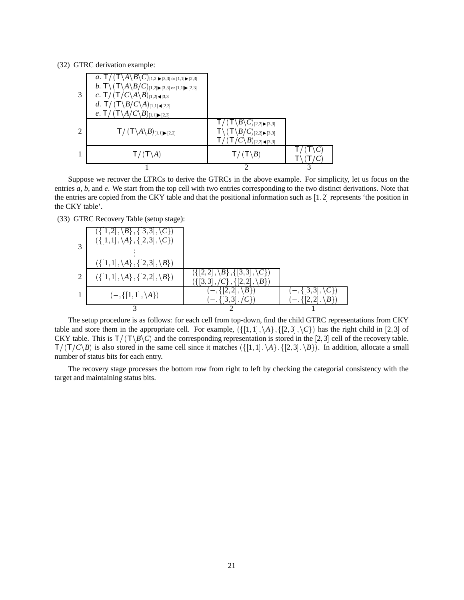(32) GTRC derivation example:

| 3             | $\int$ $(\mathsf{T}\backslash A\backslash B\backslash C)$ [1,2] $\blacktriangleright$ [3,3] or [1,1] $\blacktriangleright$ [2,3]<br>a <sub>l</sub><br>$b. \ \mathsf{T} \backslash \left( \mathsf{T} \backslash A \backslash B/C \right)_{[1,2]\blacktriangleright [3,3] \text{ or } [1,1]\blacktriangleright [2,3]}$<br>$c \cdot \mathsf{T} / (\mathsf{T}/C \backslash A \backslash B)_{[1,2] \cdot \mathsf{T} [3,3]}$<br>d. T/ $(T \setminus B/C \setminus A)_{[1,1] \triangleleft [2,3]}$<br>e. T / $(T \setminus A/C \setminus B)_{[1,1] \blacktriangleright [2,3]}$ |                                                                                                                                                                                                    |  |
|---------------|-------------------------------------------------------------------------------------------------------------------------------------------------------------------------------------------------------------------------------------------------------------------------------------------------------------------------------------------------------------------------------------------------------------------------------------------------------------------------------------------------------------------------------------------------------------------------|----------------------------------------------------------------------------------------------------------------------------------------------------------------------------------------------------|--|
| $\mathcal{D}$ | $\mathsf{T}/(\mathsf{T}\backslash A\backslash B)_{[1,1]\blacktriangleright [2,2]}$                                                                                                                                                                                                                                                                                                                                                                                                                                                                                      | $\langle 1 \setminus B \setminus C \rangle_{[2,2] \blacktriangleright [3,3]}$<br>$\sqrt{(T \backslash B/C)_{[2,2]\blacktriangleright [3,3]}}$<br>$/C\backslash B)_{[2,2]\blacktriangleleft [3,3]}$ |  |
|               | $T/(T \setminus A)$                                                                                                                                                                                                                                                                                                                                                                                                                                                                                                                                                     | $\prime$ (T\B)                                                                                                                                                                                     |  |
|               |                                                                                                                                                                                                                                                                                                                                                                                                                                                                                                                                                                         |                                                                                                                                                                                                    |  |

Suppose we recover the LTRCs to derive the GTRCs in the above example. For simplicity, let us focus on the entries *a*, *b*, and *e*. We start from the top cell with two entries corresponding to the two distinct derivations. Note that the entries are copied from the CKY table and that the positional information such as  $[1,2]$  represents 'the position in the CKY table'.

(33) GTRC Recovery Table (setup stage):

|               | $\{([1,2], \{B\}, \{[3,3], \{C\}\}]$<br>$({[1,1], \A}, {[2,3], \C})$ |                                                                               |  |
|---------------|----------------------------------------------------------------------|-------------------------------------------------------------------------------|--|
|               | $({[[1,1], \A}, {[2,3], \B} )$                                       |                                                                               |  |
| $\mathcal{L}$ | $({[[1,1], \A}, {[2,2], \B}$                                         | $({ 2,2 },  B , { 3,3 },  C )$<br>$({[3,3], /C}, {[2,2], \langle B \rangle})$ |  |
|               | $(-,\{[1,1],\setminus A\})$                                          | $[-, \{[2,2], \setminus B\}]$<br>$(-, \{[3, 3], \}$                           |  |
|               |                                                                      |                                                                               |  |

The setup procedure is as follows: for each cell from top-down, find the child GTRC representations from CKY table and store them in the appropriate cell. For example,  $(\{[1,1], \A\}, \{[2,3], \C\})$  has the right child in [2,3] of CKY table. This is  $T/ (T \Bbb R \Bbb C)$  and the corresponding representation is stored in the [2,3] cell of the recovery table.  $T/ (T/C\setminus B)$  is also stored in the same cell since it matches  $({1, 1}, \A}, {2, 3}, B).$  In addition, allocate a small number of status bits for each entry.

The recovery stage processes the bottom row from right to left by checking the categorial consistency with the target and maintaining status bits.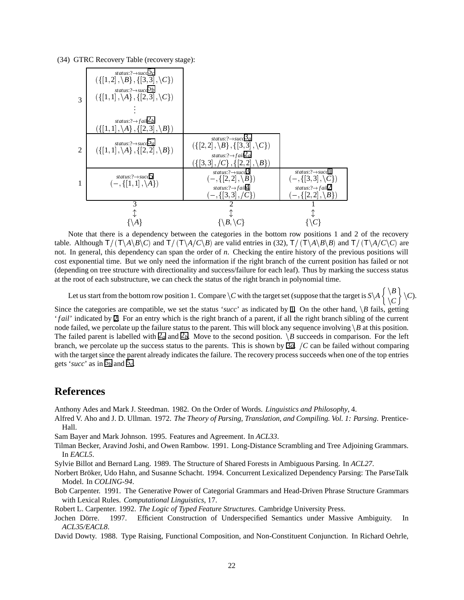(34) GTRC Recovery Table (recovery stage):



Note that there is a dependency between the categories in the bottom row positions 1 and 2 of the recovery table. Although  $T/(T\lambda B)C$  and  $T/(T\lambda A/C)B$  are valid entries in (32),  $T/(T\lambda B)B$  and  $T/(T\lambda A/C)C$  are not. In general, this dependency can span the order of *n*. Checking the entire history of the previous positions will cost exponential time. But we only need the information if the right branch of the current position has failed or not (depending on tree structure with directionality and success/failure for each leaf). Thus by marking the success status at the root of each substructure, we can check the status of the right branch in polynomial time.

Let us start from the bottom row position 1. Compare  $\setminus C$  with the target set (suppose that the target is  $S\setminus A$   $\begin{Bmatrix} \setminus B \\ \setminus C \end{Bmatrix}$   $\setminus C$ ).

Since the categories are compatible, we set the status '*succ*' as indicated by  $\Box$  On the other hand,  $\Box B$  fails, getting '*f ail*' indicated by 2. For an entry which is the right branch of a parent, if all the right branch sibling of the current node failed, we percolate up the failure status to the parent. This will block any sequence involving  $\beta$  at this position. The failed parent is labelled with  $\mathbb{Z}_d$  and  $\mathbb{Z}_b$ . Move to the second position.  $\setminus B$  succeeds in comparison. For the left branch, we percolate up the success status to the parents. This is shown by 3*a*. *C* can be failed without comparing with the target since the parent already indicates the failure. The recovery process succeeds when one of the top entries gets 'succ' as in  $5_b$  and  $5_c$ .

# **References**

Anthony Ades and Mark J. Steedman. 1982. On the Order of Words. *Linguistics and Philosophy*, 4.

Alfred V. Aho and J. D. Ullman. 1972. *The Theory of Parsing, Translation, and Compiling. Vol. 1: Parsing*. Prentice-Hall.

Sam Bayer and Mark Johnson. 1995. Features and Agreement. In *ACL33*.

Tilman Becker, Aravind Joshi, and Owen Rambow. 1991. Long-Distance Scrambling and Tree Adjoining Grammars. In *EACL5*.

Sylvie Billot and Bernard Lang. 1989. The Structure of Shared Forests in Ambiguous Parsing. In *ACL27*.

Norbert Bröker, Udo Hahn, and Susanne Schacht. 1994. Concurrent Lexicalized Dependency Parsing: The ParseTalk Model. In *COLING-94*.

Bob Carpenter. 1991. The Generative Power of Categorial Grammars and Head-Driven Phrase Structure Grammars with Lexical Rules. *Computational Linguistics*, 17.

Robert L. Carpenter. 1992. *The Logic of Typed Feature Structures*. Cambridge University Press.

Jochen Dörre. 1997. Efficient Construction of Underspecified Semantics under Massive Ambiguity. In *ACL35/EACL8*.

David Dowty. 1988. Type Raising, Functional Composition, and Non-Constituent Conjunction. In Richard Oehrle,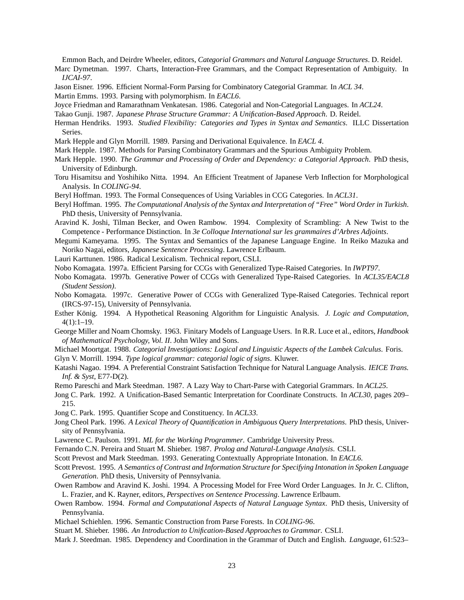Emmon Bach, and Deirdre Wheeler, editors, *Categorial Grammars and Natural Language Structures*. D. Reidel.

- Marc Dymetman. 1997. Charts, Interaction-Free Grammars, and the Compact Representation of Ambiguity. In *IJCAI-97*.
- Jason Eisner. 1996. Efficient Normal-Form Parsing for Combinatory Categorial Grammar. In *ACL 34*.
- Martin Emms. 1993. Parsing with polymorphism. In *EACL6*.
- Joyce Friedman and Ramarathnam Venkatesan. 1986. Categorial and Non-Categorial Languages. In *ACL24*.
- Takao Gunji. 1987. *Japanese Phrase Structure Grammar: A Unification-Based Approach*. D. Reidel.
- Herman Hendriks. 1993. *Studied Flexibility: Categories and Types in Syntax and Semantics*. ILLC Dissertation Series.
- Mark Hepple and Glyn Morrill. 1989. Parsing and Derivational Equivalence. In *EACL 4*.
- Mark Hepple. 1987. Methods for Parsing Combinatory Grammars and the Spurious Ambiguity Problem.
- Mark Hepple. 1990. *The Grammar and Processing of Order and Dependency: a Categorial Approach*. PhD thesis, University of Edinburgh.
- Toru Hisamitsu and Yoshihiko Nitta. 1994. An Efficient Treatment of Japanese Verb Inflection for Morphological Analysis. In *COLING-94*.
- Beryl Hoffman. 1993. The Formal Consequences of Using Variables in CCG Categories. In *ACL31*.
- Beryl Hoffman. 1995. *The Computational Analysis of the Syntax and Interpretation of "Free" Word Order in Turkish*. PhD thesis, University of Pennsylvania.
- Aravind K. Joshi, Tilman Becker, and Owen Rambow. 1994. Complexity of Scrambling: A New Twist to the Competence - Performance Distinction. In *3e Colloque International sur les grammaires d'Arbres Adjoints*.
- Megumi Kameyama. 1995. The Syntax and Semantics of the Japanese Language Engine. In Reiko Mazuka and Noriko Nagai, editors, *Japanese Sentence Processing*. Lawrence Erlbaum.
- Lauri Karttunen. 1986. Radical Lexicalism. Technical report, CSLI.
- Nobo Komagata. 1997a. Efficient Parsing for CCGs with Generalized Type-Raised Categories. In *IWPT97*.
- Nobo Komagata. 1997b. Generative Power of CCGs with Generalized Type-Raised Categories. In *ACL35/EACL8 (Student Session)*.
- Nobo Komagata. 1997c. Generative Power of CCGs with Generalized Type-Raised Categories. Technical report (IRCS-97-15), University of Pennsylvania.
- Esther König. 1994. A Hypothetical Reasoning Algorithm for Linguistic Analysis. *J. Logic and Computation*, 4(1):1–19.
- George Miller and Noam Chomsky. 1963. Finitary Models of Language Users. In R.R. Luce et al., editors, *Handbook of Mathematical Psychology, Vol. II*. John Wiley and Sons.
- Michael Moortgat. 1988. *Categorial Investigations: Logical and Linguistic Aspects of the Lambek Calculus*. Foris. Glyn V. Morrill. 1994. *Type logical grammar: categorial logic of signs*. Kluwer.
- Katashi Nagao. 1994. A Preferential Constraint Satisfaction Technique for Natural Language Analysis. *IEICE Trans. Inf. & Syst*, E77-D(2).
- Remo Pareschi and Mark Steedman. 1987. A Lazy Way to Chart-Parse with Categorial Grammars. In *ACL25*.
- Jong C. Park. 1992. A Unification-Based Semantic Interpretation for Coordinate Constructs. In *ACL30*, pages 209– 215.
- Jong C. Park. 1995. Quantifier Scope and Constituency. In *ACL33*.
- Jong Cheol Park. 1996. *A Lexical Theory of Quantification in Ambiguous Query Interpretations*. PhD thesis, University of Pennsylvania.
- Lawrence C. Paulson. 1991. *ML for the Working Programmer*. Cambridge University Press.
- Fernando C.N. Pereira and Stuart M. Shieber. 1987. *Prolog and Natural-Language Analysis*. CSLI.

Scott Prevost and Mark Steedman. 1993. Generating Contextually Appropriate Intonation. In *EACL6*.

- Scott Prevost. 1995. *A Semantics of Contrast and Information Structure for Specifying Intonation in Spoken Language Generation*. PhD thesis, University of Pennsylvania.
- Owen Rambow and Aravind K. Joshi. 1994. A Processing Model for Free Word Order Languages. In Jr. C. Clifton, L. Frazier, and K. Rayner, editors, *Perspectives on Sentence Processing*. Lawrence Erlbaum.
- Owen Rambow. 1994. *Formal and Computational Aspects of Natural Language Syntax*. PhD thesis, University of Pennsylvania.
- Michael Schiehlen. 1996. Semantic Construction from Parse Forests. In *COLING-96*.
- Stuart M. Shieber. 1986. *An Introduction to Unification-Based Approaches to Grammar*. CSLI.
- Mark J. Steedman. 1985. Dependency and Coordination in the Grammar of Dutch and English. *Language*, 61:523–